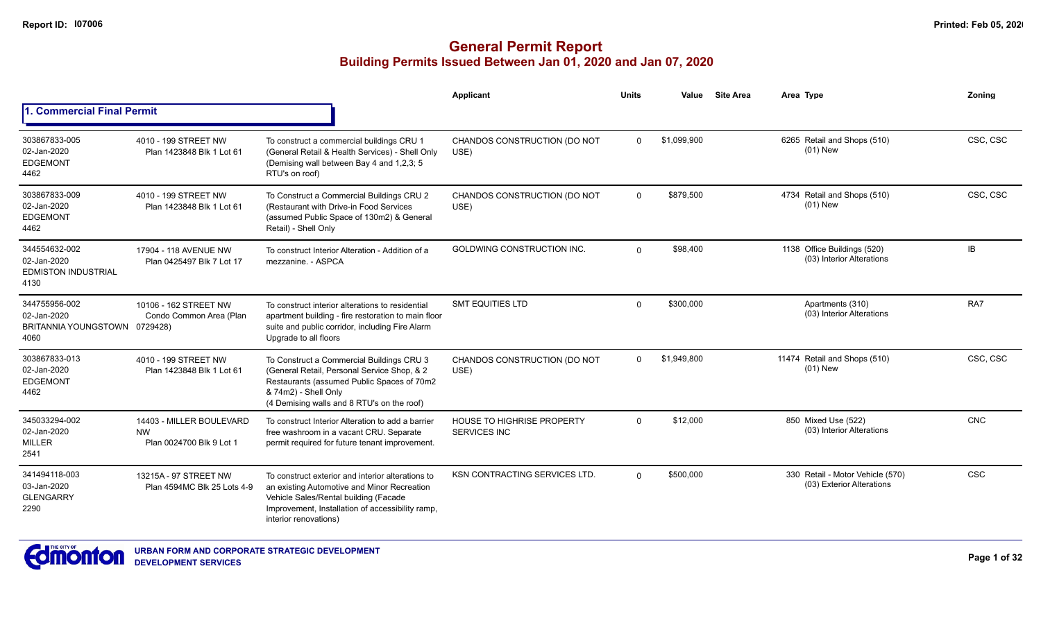|                                                                       |                                                                   |                                                                                                                                                                                                                        | Applicant                                                | Units    | Value       | <b>Site Area</b> | Area Type                                                     | Zoning     |
|-----------------------------------------------------------------------|-------------------------------------------------------------------|------------------------------------------------------------------------------------------------------------------------------------------------------------------------------------------------------------------------|----------------------------------------------------------|----------|-------------|------------------|---------------------------------------------------------------|------------|
| <b>1. Commercial Final Permit</b>                                     |                                                                   |                                                                                                                                                                                                                        |                                                          |          |             |                  |                                                               |            |
| 303867833-005<br>02-Jan-2020<br><b>EDGEMONT</b><br>4462               | 4010 - 199 STREET NW<br>Plan 1423848 Blk 1 Lot 61                 | To construct a commercial buildings CRU 1<br>(General Retail & Health Services) - Shell Only<br>(Demising wall between Bay 4 and 1,2,3; 5<br>RTU's on roof)                                                            | CHANDOS CONSTRUCTION (DO NOT<br>USE)                     | $\Omega$ | \$1,099,900 |                  | 6265 Retail and Shops (510)<br>$(01)$ New                     | CSC, CSC   |
| 303867833-009<br>02-Jan-2020<br><b>EDGEMONT</b><br>4462               | 4010 - 199 STREET NW<br>Plan 1423848 Blk 1 Lot 61                 | To Construct a Commercial Buildings CRU 2<br>(Restaurant with Drive-in Food Services<br>(assumed Public Space of 130m2) & General<br>Retail) - Shell Only                                                              | CHANDOS CONSTRUCTION (DO NOT<br>USE)                     | $\Omega$ | \$879.500   |                  | 4734 Retail and Shops (510)<br>$(01)$ New                     | CSC, CSC   |
| 344554632-002<br>02-Jan-2020<br><b>EDMISTON INDUSTRIAL</b><br>4130    | 17904 - 118 AVENUE NW<br>Plan 0425497 Blk 7 Lot 17                | To construct Interior Alteration - Addition of a<br>mezzanine. - ASPCA                                                                                                                                                 | GOLDWING CONSTRUCTION INC.                               | $\Omega$ | \$98,400    |                  | 1138 Office Buildings (520)<br>(03) Interior Alterations      | IB         |
| 344755956-002<br>02-Jan-2020<br>BRITANNIA YOUNGSTOWN 0729428)<br>4060 | 10106 - 162 STREET NW<br>Condo Common Area (Plan                  | To construct interior alterations to residential<br>apartment building - fire restoration to main floor<br>suite and public corridor, including Fire Alarm<br>Upgrade to all floors                                    | <b>SMT EQUITIES LTD</b>                                  | $\Omega$ | \$300,000   |                  | Apartments (310)<br>(03) Interior Alterations                 | RA7        |
| 303867833-013<br>02-Jan-2020<br><b>EDGEMONT</b><br>4462               | 4010 - 199 STREET NW<br>Plan 1423848 Blk 1 Lot 61                 | To Construct a Commercial Buildings CRU 3<br>(General Retail, Personal Service Shop, & 2<br>Restaurants (assumed Public Spaces of 70m2<br>& 74m2) - Shell Only<br>(4 Demising walls and 8 RTU's on the roof)           | CHANDOS CONSTRUCTION (DO NOT<br>USE)                     | $\Omega$ | \$1,949,800 |                  | 11474 Retail and Shops (510)<br>$(01)$ New                    | CSC, CSC   |
| 345033294-002<br>02-Jan-2020<br><b>MILLER</b><br>2541                 | 14403 - MILLER BOULEVARD<br><b>NW</b><br>Plan 0024700 Blk 9 Lot 1 | To construct Interior Alteration to add a barrier<br>free washroom in a vacant CRU. Separate<br>permit required for future tenant improvement.                                                                         | <b>HOUSE TO HIGHRISE PROPERTY</b><br><b>SERVICES INC</b> | $\Omega$ | \$12,000    |                  | 850 Mixed Use (522)<br>(03) Interior Alterations              | CNC        |
| 341494118-003<br>03-Jan-2020<br><b>GLENGARRY</b><br>2290              | 13215A - 97 STREET NW<br>Plan 4594MC Blk 25 Lots 4-9              | To construct exterior and interior alterations to<br>an existing Automotive and Minor Recreation<br>Vehicle Sales/Rental building (Facade<br>Improvement, Installation of accessibility ramp,<br>interior renovations) | <b>KSN CONTRACTING SERVICES LTD.</b>                     | $\Omega$ | \$500,000   |                  | 330 Retail - Motor Vehicle (570)<br>(03) Exterior Alterations | <b>CSC</b> |

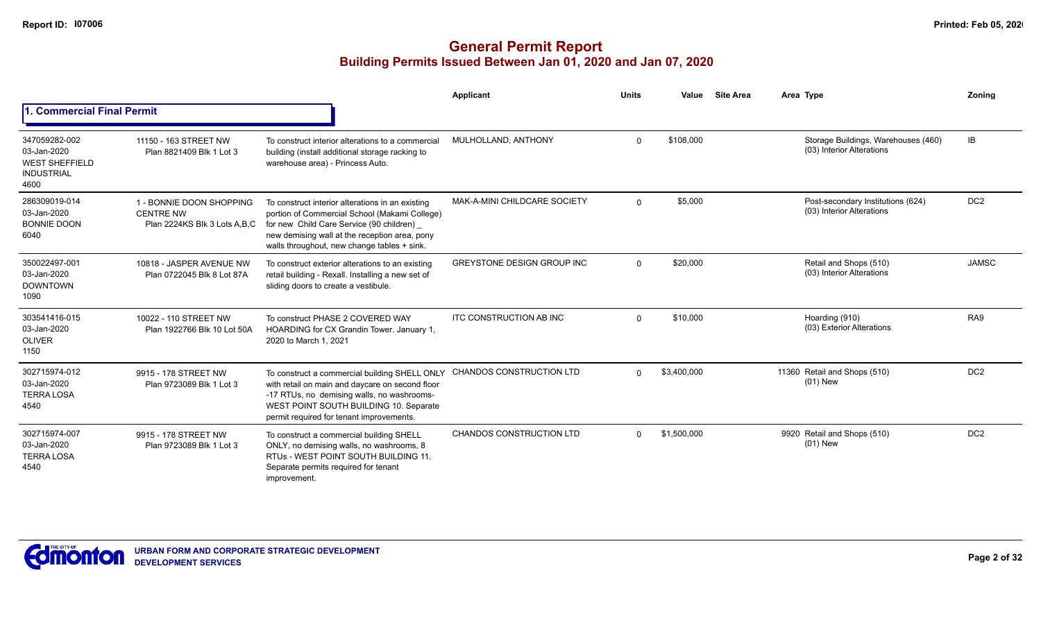|                                                                                    |                                                                              |                                                                                                                                                                                                                                               | Applicant                         | <b>Units</b> | Value       | <b>Site Area</b> | Area Type                                                        | Zonina          |
|------------------------------------------------------------------------------------|------------------------------------------------------------------------------|-----------------------------------------------------------------------------------------------------------------------------------------------------------------------------------------------------------------------------------------------|-----------------------------------|--------------|-------------|------------------|------------------------------------------------------------------|-----------------|
| . Commercial Final Permit                                                          |                                                                              |                                                                                                                                                                                                                                               |                                   |              |             |                  |                                                                  |                 |
| 347059282-002<br>03-Jan-2020<br><b>WEST SHEFFIELD</b><br><b>INDUSTRIAL</b><br>4600 | 11150 - 163 STREET NW<br>Plan 8821409 Blk 1 Lot 3                            | To construct interior alterations to a commercial<br>building (install additional storage racking to<br>warehouse area) - Princess Auto.                                                                                                      | MULHOLLAND, ANTHONY               | $\mathbf 0$  | \$108,000   |                  | Storage Buildings, Warehouses (460)<br>(03) Interior Alterations | <b>IB</b>       |
| 286309019-014<br>03-Jan-2020<br><b>BONNIE DOON</b><br>6040                         | 1 - BONNIE DOON SHOPPING<br><b>CENTRE NW</b><br>Plan 2224KS Blk 3 Lots A.B.C | To construct interior alterations in an existing<br>portion of Commercial School (Makami College)<br>for new Child Care Service (90 children)<br>new demising wall at the reception area, pony<br>walls throughout, new change tables + sink. | MAK-A-MINI CHILDCARE SOCIETY      | $\Omega$     | \$5,000     |                  | Post-secondary Institutions (624)<br>(03) Interior Alterations   | DC <sub>2</sub> |
| 350022497-001<br>03-Jan-2020<br><b>DOWNTOWN</b><br>1090                            | 10818 - JASPER AVENUE NW<br>Plan 0722045 Blk 8 Lot 87A                       | To construct exterior alterations to an existing<br>retail building - Rexall. Installing a new set of<br>sliding doors to create a vestibule.                                                                                                 | <b>GREYSTONE DESIGN GROUP INC</b> | $\Omega$     | \$20,000    |                  | Retail and Shops (510)<br>(03) Interior Alterations              | <b>JAMSC</b>    |
| 303541416-015<br>03-Jan-2020<br><b>OLIVER</b><br>1150                              | 10022 - 110 STREET NW<br>Plan 1922766 Blk 10 Lot 50A                         | To construct PHASE 2 COVERED WAY<br>HOARDING for CX Grandin Tower. January 1,<br>2020 to March 1, 2021                                                                                                                                        | ITC CONSTRUCTION AB INC           | $\mathbf 0$  | \$10,000    |                  | Hoarding (910)<br>(03) Exterior Alterations                      | RA <sub>9</sub> |
| 302715974-012<br>03-Jan-2020<br><b>TERRA LOSA</b><br>4540                          | 9915 - 178 STREET NW<br>Plan 9723089 Blk 1 Lot 3                             | To construct a commercial building SHELL ONLY<br>with retail on main and daycare on second floor<br>-17 RTUs, no demising walls, no washrooms-<br>WEST POINT SOUTH BUILDING 10. Separate<br>permit required for tenant improvements.          | <b>CHANDOS CONSTRUCTION LTD</b>   | $\Omega$     | \$3,400,000 |                  | 11360 Retail and Shops (510)<br>$(01)$ New                       | DC <sub>2</sub> |
| 302715974-007<br>03-Jan-2020<br><b>TERRA LOSA</b><br>4540                          | 9915 - 178 STREET NW<br>Plan 9723089 Blk 1 Lot 3                             | To construct a commercial building SHELL<br>ONLY, no demising walls, no washrooms, 8<br>RTUS - WEST POINT SOUTH BUILDING 11<br>Separate permits required for tenant<br>improvement.                                                           | <b>CHANDOS CONSTRUCTION LTD</b>   | $\Omega$     | \$1,500,000 |                  | 9920 Retail and Shops (510)<br>$(01)$ New                        | DC <sub>2</sub> |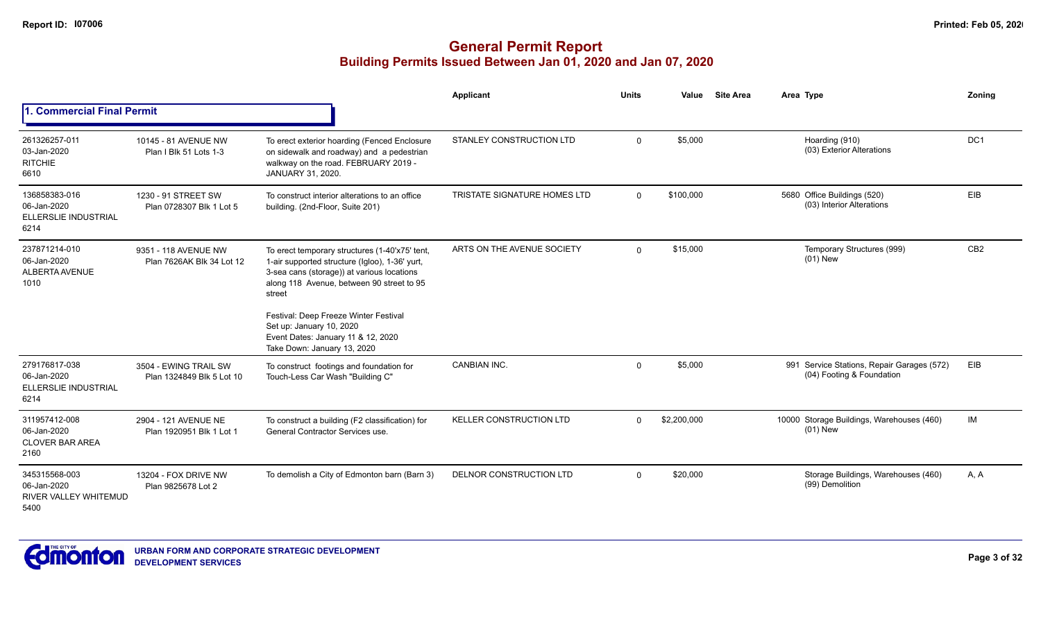|                                                                |                                                    |                                                                                                                                                                                                       | Applicant                    | <b>Units</b> | Value       | <b>Site Area</b> | Area Type                                                               | Zoning          |
|----------------------------------------------------------------|----------------------------------------------------|-------------------------------------------------------------------------------------------------------------------------------------------------------------------------------------------------------|------------------------------|--------------|-------------|------------------|-------------------------------------------------------------------------|-----------------|
| 1. Commercial Final Permit                                     |                                                    |                                                                                                                                                                                                       |                              |              |             |                  |                                                                         |                 |
| 261326257-011<br>03-Jan-2020<br><b>RITCHIE</b><br>6610         | 10145 - 81 AVENUE NW<br>Plan I Blk 51 Lots 1-3     | To erect exterior hoarding (Fenced Enclosure<br>on sidewalk and roadway) and a pedestrian<br>walkway on the road. FEBRUARY 2019 -<br>JANUARY 31, 2020.                                                | STANLEY CONSTRUCTION LTD     | $\Omega$     | \$5,000     |                  | Hoarding (910)<br>(03) Exterior Alterations                             | DC1             |
| 136858383-016<br>06-Jan-2020<br>ELLERSLIE INDUSTRIAL<br>6214   | 1230 - 91 STREET SW<br>Plan 0728307 Blk 1 Lot 5    | To construct interior alterations to an office<br>building. (2nd-Floor, Suite 201)                                                                                                                    | TRISTATE SIGNATURE HOMES LTD | $\Omega$     | \$100,000   |                  | 5680 Office Buildings (520)<br>(03) Interior Alterations                | EIB             |
| 237871214-010<br>06-Jan-2020<br>ALBERTA AVENUE<br>1010         | 9351 - 118 AVENUE NW<br>Plan 7626AK Blk 34 Lot 12  | To erect temporary structures (1-40'x75' tent,<br>1-air supported structure (Igloo), 1-36' yurt,<br>3-sea cans (storage)) at various locations<br>along 118 Avenue, between 90 street to 95<br>street | ARTS ON THE AVENUE SOCIETY   | $\Omega$     | \$15,000    |                  | Temporary Structures (999)<br>$(01)$ New                                | CB <sub>2</sub> |
|                                                                |                                                    | Festival: Deep Freeze Winter Festival<br>Set up: January 10, 2020<br>Event Dates: January 11 & 12, 2020<br>Take Down: January 13, 2020                                                                |                              |              |             |                  |                                                                         |                 |
| 279176817-038<br>06-Jan-2020<br>ELLERSLIE INDUSTRIAL<br>6214   | 3504 - EWING TRAIL SW<br>Plan 1324849 Blk 5 Lot 10 | To construct footings and foundation for<br>Touch-Less Car Wash "Building C"                                                                                                                          | <b>CANBIAN INC.</b>          | $\Omega$     | \$5,000     |                  | 991 Service Stations, Repair Garages (572)<br>(04) Footing & Foundation | EIB             |
| 311957412-008<br>06-Jan-2020<br><b>CLOVER BAR AREA</b><br>2160 | 2904 - 121 AVENUE NE<br>Plan 1920951 Blk 1 Lot 1   | To construct a building (F2 classification) for<br>General Contractor Services use.                                                                                                                   | KELLER CONSTRUCTION LTD      | $\Omega$     | \$2,200,000 |                  | 10000 Storage Buildings, Warehouses (460)<br>$(01)$ New                 | IM              |
| 345315568-003<br>06-Jan-2020<br>RIVER VALLEY WHITEMUD<br>5400  | 13204 - FOX DRIVE NW<br>Plan 9825678 Lot 2         | To demolish a City of Edmonton barn (Barn 3)                                                                                                                                                          | DELNOR CONSTRUCTION LTD      | $\Omega$     | \$20,000    |                  | Storage Buildings, Warehouses (460)<br>(99) Demolition                  | A, A            |

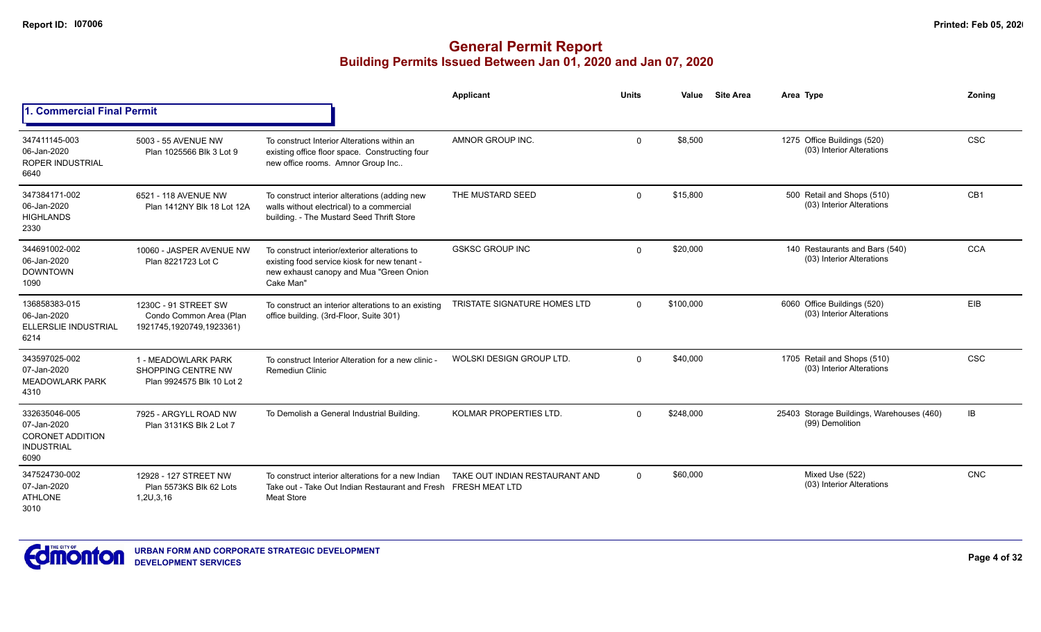|                                                                                      |                                                                             |                                                                                                                                                       | Applicant                                               | <b>Units</b> | Value     | <b>Site Area</b> | Area Type                                                    | Zoning          |
|--------------------------------------------------------------------------------------|-----------------------------------------------------------------------------|-------------------------------------------------------------------------------------------------------------------------------------------------------|---------------------------------------------------------|--------------|-----------|------------------|--------------------------------------------------------------|-----------------|
| <b>Commercial Final Permit</b>                                                       |                                                                             |                                                                                                                                                       |                                                         |              |           |                  |                                                              |                 |
| 347411145-003<br>06-Jan-2020<br>ROPER INDUSTRIAL<br>6640                             | 5003 - 55 AVENUE NW<br>Plan 1025566 Blk 3 Lot 9                             | To construct Interior Alterations within an<br>existing office floor space. Constructing four<br>new office rooms. Amnor Group Inc                    | AMNOR GROUP INC.                                        | $\Omega$     | \$8,500   |                  | 1275 Office Buildings (520)<br>(03) Interior Alterations     | <b>CSC</b>      |
| 347384171-002<br>06-Jan-2020<br><b>HIGHLANDS</b><br>2330                             | 6521 - 118 AVENUE NW<br>Plan 1412NY Blk 18 Lot 12A                          | To construct interior alterations (adding new<br>walls without electrical) to a commercial<br>building. - The Mustard Seed Thrift Store               | THE MUSTARD SEED                                        | $\Omega$     | \$15,800  |                  | 500 Retail and Shops (510)<br>(03) Interior Alterations      | CB <sub>1</sub> |
| 344691002-002<br>06-Jan-2020<br><b>DOWNTOWN</b><br>1090                              | 10060 - JASPER AVENUE NW<br>Plan 8221723 Lot C                              | To construct interior/exterior alterations to<br>existing food service kiosk for new tenant -<br>new exhaust canopy and Mua "Green Onion<br>Cake Man" | <b>GSKSC GROUP INC</b>                                  | $\Omega$     | \$20,000  |                  | 140 Restaurants and Bars (540)<br>(03) Interior Alterations  | <b>CCA</b>      |
| 136858383-015<br>06-Jan-2020<br>ELLERSLIE INDUSTRIAL<br>6214                         | 1230C - 91 STREET SW<br>Condo Common Area (Plan<br>1921745,1920749,1923361) | To construct an interior alterations to an existing<br>office building. (3rd-Floor, Suite 301)                                                        | TRISTATE SIGNATURE HOMES LTD                            | $\Omega$     | \$100,000 |                  | 6060 Office Buildings (520)<br>(03) Interior Alterations     | EIB             |
| 343597025-002<br>07-Jan-2020<br><b>MEADOWLARK PARK</b><br>4310                       | 1 - MEADOWLARK PARK<br>SHOPPING CENTRE NW<br>Plan 9924575 Blk 10 Lot 2      | To construct Interior Alteration for a new clinic -<br><b>Remediun Clinic</b>                                                                         | WOLSKI DESIGN GROUP LTD.                                | $\Omega$     | \$40,000  |                  | 1705 Retail and Shops (510)<br>(03) Interior Alterations     | <b>CSC</b>      |
| 332635046-005<br>07-Jan-2020<br><b>CORONET ADDITION</b><br><b>INDUSTRIAL</b><br>6090 | 7925 - ARGYLL ROAD NW<br>Plan 3131KS Blk 2 Lot 7                            | To Demolish a General Industrial Building.                                                                                                            | KOLMAR PROPERTIES LTD.                                  | $\Omega$     | \$248,000 |                  | 25403 Storage Buildings, Warehouses (460)<br>(99) Demolition | IB              |
| 347524730-002<br>07-Jan-2020<br><b>ATHLONE</b><br>3010                               | 12928 - 127 STREET NW<br>Plan 5573KS Blk 62 Lots<br>1,2U,3,16               | To construct interior alterations for a new Indian<br>Take out - Take Out Indian Restaurant and Fresh<br><b>Meat Store</b>                            | TAKE OUT INDIAN RESTAURANT AND<br><b>FRESH MEAT LTD</b> | $\Omega$     | \$60,000  |                  | Mixed Use (522)<br>(03) Interior Alterations                 | <b>CNC</b>      |

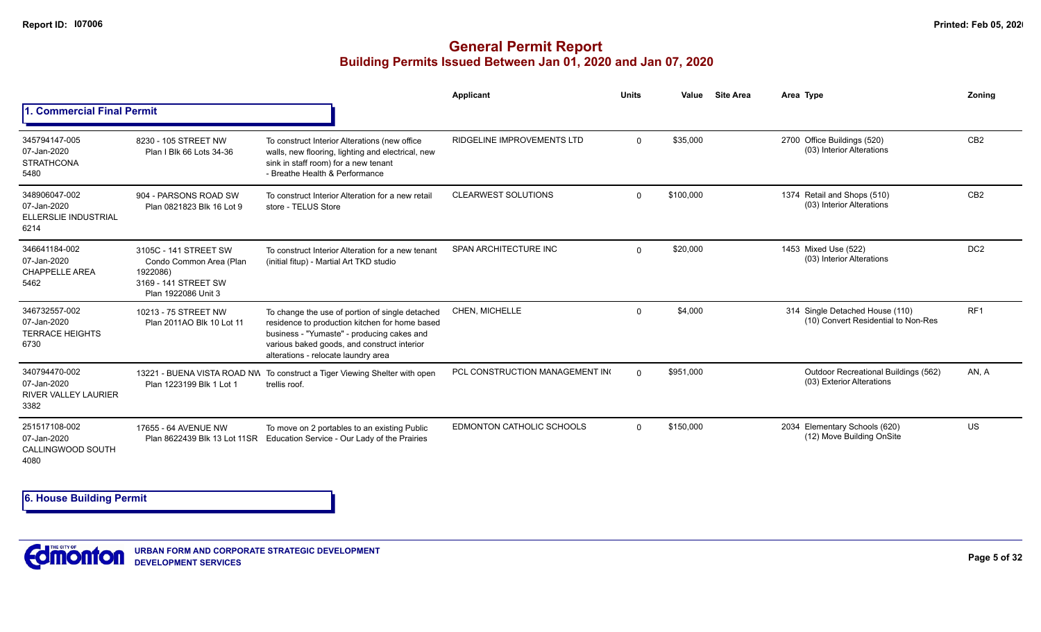# **General Permit Report Building Permits Issued Between Jan 01, 2020 and Jan 07, 2020**

|                                                                     |                                                                                                             |                                                                                                                                                                                                                                       | Applicant                         | <b>Units</b> | Value     | <b>Site Area</b> | Area Type                                                              | Zoning          |
|---------------------------------------------------------------------|-------------------------------------------------------------------------------------------------------------|---------------------------------------------------------------------------------------------------------------------------------------------------------------------------------------------------------------------------------------|-----------------------------------|--------------|-----------|------------------|------------------------------------------------------------------------|-----------------|
| 1. Commercial Final Permit                                          |                                                                                                             |                                                                                                                                                                                                                                       |                                   |              |           |                  |                                                                        |                 |
| 345794147-005<br>07-Jan-2020<br><b>STRATHCONA</b><br>5480           | 8230 - 105 STREET NW<br>Plan I Blk 66 Lots 34-36                                                            | To construct Interior Alterations (new office<br>walls, new flooring, lighting and electrical, new<br>sink in staff room) for a new tenant<br>- Breathe Health & Performance                                                          | <b>RIDGELINE IMPROVEMENTS LTD</b> | $\Omega$     | \$35,000  |                  | 2700 Office Buildings (520)<br>(03) Interior Alterations               | CB <sub>2</sub> |
| 348906047-002<br>07-Jan-2020<br>ELLERSLIE INDUSTRIAL<br>6214        | 904 - PARSONS ROAD SW<br>Plan 0821823 Blk 16 Lot 9                                                          | To construct Interior Alteration for a new retail<br>store - TELUS Store                                                                                                                                                              | <b>CLEARWEST SOLUTIONS</b>        | $\Omega$     | \$100,000 |                  | 1374 Retail and Shops (510)<br>(03) Interior Alterations               | CB <sub>2</sub> |
| 346641184-002<br>07-Jan-2020<br><b>CHAPPELLE AREA</b><br>5462       | 3105C - 141 STREET SW<br>Condo Common Area (Plan<br>1922086)<br>3169 - 141 STREET SW<br>Plan 1922086 Unit 3 | To construct Interior Alteration for a new tenant<br>(initial fitup) - Martial Art TKD studio                                                                                                                                         | SPAN ARCHITECTURE INC             | $\Omega$     | \$20,000  |                  | 1453 Mixed Use (522)<br>(03) Interior Alterations                      | DC <sub>2</sub> |
| 346732557-002<br>07-Jan-2020<br><b>TERRACE HEIGHTS</b><br>6730      | 10213 - 75 STREET NW<br>Plan 2011AO Blk 10 Lot 11                                                           | To change the use of portion of single detached<br>residence to production kitchen for home based<br>business - "Yumaste" - producing cakes and<br>various baked goods, and construct interior<br>alterations - relocate laundry area | CHEN, MICHELLE                    | $\Omega$     | \$4,000   |                  | 314 Single Detached House (110)<br>(10) Convert Residential to Non-Res | RF <sub>1</sub> |
| 340794470-002<br>07-Jan-2020<br><b>RIVER VALLEY LAURIER</b><br>3382 | Plan 1223199 Blk 1 Lot 1                                                                                    | 13221 - BUENA VISTA ROAD NW To construct a Tiger Viewing Shelter with open<br>trellis roof.                                                                                                                                           | PCL CONSTRUCTION MANAGEMENT IN    | $\Omega$     | \$951.000 |                  | Outdoor Recreational Buildings (562)<br>(03) Exterior Alterations      | AN. A           |
| 251517108-002<br>07-Jan-2020<br>CALLINGWOOD SOUTH<br>4080           | 17655 - 64 AVENUE NW<br>Plan 8622439 Blk 13 Lot 11SR                                                        | To move on 2 portables to an existing Public<br>Education Service - Our Lady of the Prairies                                                                                                                                          | <b>EDMONTON CATHOLIC SCHOOLS</b>  | $\Omega$     | \$150,000 |                  | 2034 Elementary Schools (620)<br>(12) Move Building OnSite             | <b>US</b>       |

**6. House Building Permit**

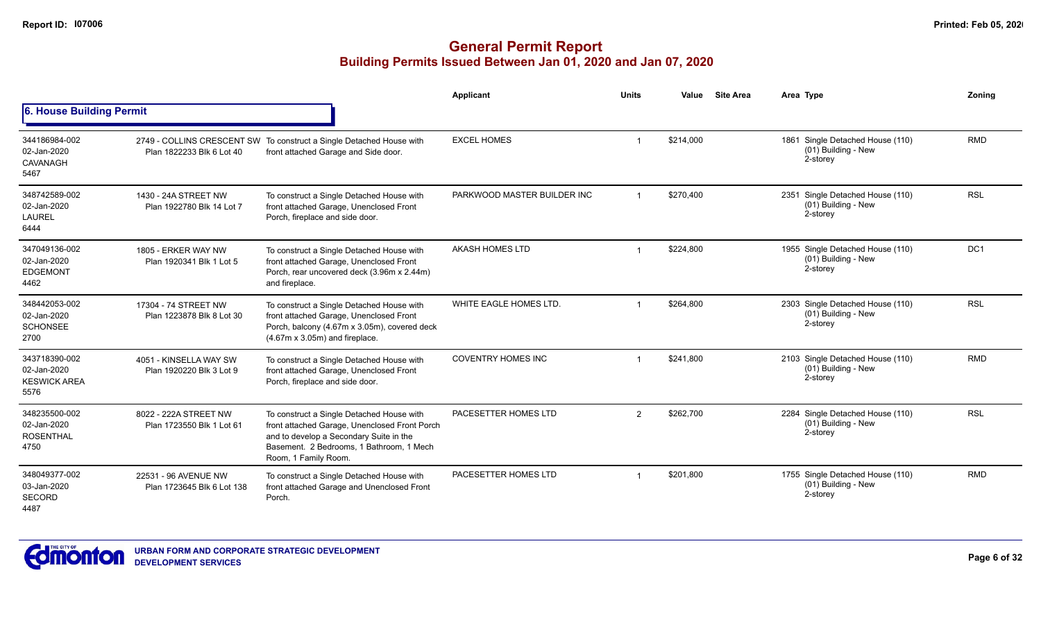|                                                             |                                                    |                                                                                                                                                                                                           | Applicant                   | <b>Units</b> | <b>Site Area</b><br>Value | Area Type |                                                                     | Zoning          |
|-------------------------------------------------------------|----------------------------------------------------|-----------------------------------------------------------------------------------------------------------------------------------------------------------------------------------------------------------|-----------------------------|--------------|---------------------------|-----------|---------------------------------------------------------------------|-----------------|
| 6. House Building Permit                                    |                                                    |                                                                                                                                                                                                           |                             |              |                           |           |                                                                     |                 |
| 344186984-002<br>02-Jan-2020<br>CAVANAGH<br>5467            | Plan 1822233 Blk 6 Lot 40                          | 2749 - COLLINS CRESCENT SW To construct a Single Detached House with<br>front attached Garage and Side door.                                                                                              | <b>EXCEL HOMES</b>          |              | \$214.000                 |           | 1861 Single Detached House (110)<br>(01) Building - New<br>2-storey | <b>RMD</b>      |
| 348742589-002<br>02-Jan-2020<br><b>LAUREL</b><br>6444       | 1430 - 24A STREET NW<br>Plan 1922780 Blk 14 Lot 7  | To construct a Single Detached House with<br>front attached Garage, Unenclosed Front<br>Porch, fireplace and side door.                                                                                   | PARKWOOD MASTER BUILDER INC |              | \$270,400                 |           | 2351 Single Detached House (110)<br>(01) Building - New<br>2-storey | <b>RSL</b>      |
| 347049136-002<br>02-Jan-2020<br><b>EDGEMONT</b><br>4462     | 1805 - ERKER WAY NW<br>Plan 1920341 Blk 1 Lot 5    | To construct a Single Detached House with<br>front attached Garage, Unenclosed Front<br>Porch, rear uncovered deck (3.96m x 2.44m)<br>and fireplace.                                                      | <b>AKASH HOMES LTD</b>      |              | \$224,800                 |           | 1955 Single Detached House (110)<br>(01) Building - New<br>2-storey | DC <sub>1</sub> |
| 348442053-002<br>02-Jan-2020<br><b>SCHONSEE</b><br>2700     | 17304 - 74 STREET NW<br>Plan 1223878 Blk 8 Lot 30  | To construct a Single Detached House with<br>front attached Garage, Unenclosed Front<br>Porch, balcony (4.67m x 3.05m), covered deck<br>$(4.67m \times 3.05m)$ and fireplace.                             | WHITE EAGLE HOMES LTD.      |              | \$264,800                 |           | 2303 Single Detached House (110)<br>(01) Building - New<br>2-storey | <b>RSL</b>      |
| 343718390-002<br>02-Jan-2020<br><b>KESWICK AREA</b><br>5576 | 4051 - KINSELLA WAY SW<br>Plan 1920220 Blk 3 Lot 9 | To construct a Single Detached House with<br>front attached Garage, Unenclosed Front<br>Porch, fireplace and side door.                                                                                   | <b>COVENTRY HOMES INC</b>   |              | \$241,800                 |           | 2103 Single Detached House (110)<br>(01) Building - New<br>2-storey | <b>RMD</b>      |
| 348235500-002<br>02-Jan-2020<br><b>ROSENTHAL</b><br>4750    | 8022 - 222A STREET NW<br>Plan 1723550 Blk 1 Lot 61 | To construct a Single Detached House with<br>front attached Garage, Unenclosed Front Porch<br>and to develop a Secondary Suite in the<br>Basement. 2 Bedrooms, 1 Bathroom, 1 Mech<br>Room, 1 Family Room. | PACESETTER HOMES LTD        | 2            | \$262,700                 |           | 2284 Single Detached House (110)<br>(01) Building - New<br>2-storey | <b>RSL</b>      |
| 348049377-002<br>03-Jan-2020<br><b>SECORD</b><br>4487       | 22531 - 96 AVENUE NW<br>Plan 1723645 Blk 6 Lot 138 | To construct a Single Detached House with<br>front attached Garage and Unenclosed Front<br>Porch.                                                                                                         | PACESETTER HOMES LTD        |              | \$201,800                 |           | 1755 Single Detached House (110)<br>(01) Building - New<br>2-storey | <b>RMD</b>      |

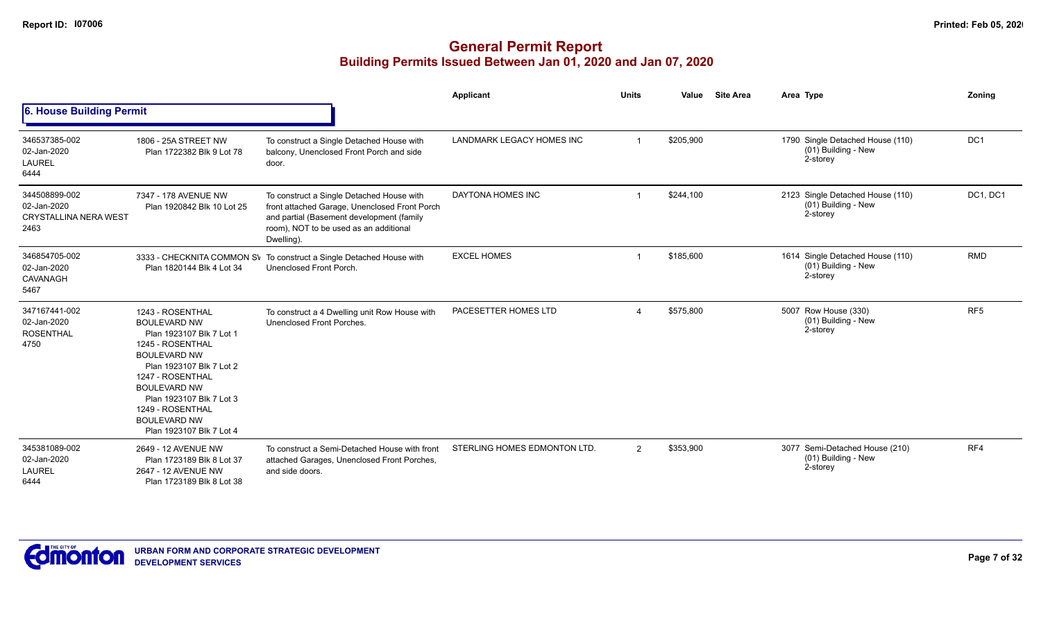|                                                                      |                                                                                                                                                                                                                                                                                          |                                                                                                                                                                                                | Applicant                    | <b>Units</b>             | Value<br><b>Site Area</b> | Area Type                                                           | Zoning          |
|----------------------------------------------------------------------|------------------------------------------------------------------------------------------------------------------------------------------------------------------------------------------------------------------------------------------------------------------------------------------|------------------------------------------------------------------------------------------------------------------------------------------------------------------------------------------------|------------------------------|--------------------------|---------------------------|---------------------------------------------------------------------|-----------------|
| 6. House Building Permit                                             |                                                                                                                                                                                                                                                                                          |                                                                                                                                                                                                |                              |                          |                           |                                                                     |                 |
| 346537385-002<br>02-Jan-2020<br>LAUREL<br>6444                       | 1806 - 25A STREET NW<br>Plan 1722382 Blk 9 Lot 78                                                                                                                                                                                                                                        | To construct a Single Detached House with<br>balcony, Unenclosed Front Porch and side<br>door.                                                                                                 | LANDMARK LEGACY HOMES INC    |                          | \$205,900                 | 1790 Single Detached House (110)<br>(01) Building - New<br>2-storey | DC1             |
| 344508899-002<br>02-Jan-2020<br><b>CRYSTALLINA NERA WEST</b><br>2463 | 7347 - 178 AVENUE NW<br>Plan 1920842 Blk 10 Lot 25                                                                                                                                                                                                                                       | To construct a Single Detached House with<br>front attached Garage, Unenclosed Front Porch<br>and partial (Basement development (family<br>room), NOT to be used as an additional<br>Dwelling) | DAYTONA HOMES INC            |                          | \$244,100                 | 2123 Single Detached House (110)<br>(01) Building - New<br>2-storey | DC1, DC1        |
| 346854705-002<br>02-Jan-2020<br>CAVANAGH<br>5467                     | 3333 - CHECKNITA COMMON SV<br>Plan 1820144 Blk 4 Lot 34                                                                                                                                                                                                                                  | To construct a Single Detached House with<br>Unenclosed Front Porch.                                                                                                                           | <b>EXCEL HOMES</b>           |                          | \$185,600                 | 1614 Single Detached House (110)<br>(01) Building - New<br>2-storey | <b>RMD</b>      |
| 347167441-002<br>02-Jan-2020<br><b>ROSENTHAL</b><br>4750             | 1243 - ROSENTHAL<br><b>BOULEVARD NW</b><br>Plan 1923107 Blk 7 Lot 1<br>1245 - ROSENTHAL<br><b>BOULEVARD NW</b><br>Plan 1923107 Blk 7 Lot 2<br>1247 - ROSENTHAL<br><b>BOULEVARD NW</b><br>Plan 1923107 Blk 7 Lot 3<br>1249 - ROSENTHAL<br><b>BOULEVARD NW</b><br>Plan 1923107 Blk 7 Lot 4 | To construct a 4 Dwelling unit Row House with<br>Unenclosed Front Porches.                                                                                                                     | PACESETTER HOMES LTD         | $\boldsymbol{\varDelta}$ | \$575,800                 | 5007 Row House (330)<br>(01) Building - New<br>2-storey             | RF <sub>5</sub> |
| 345381089-002<br>02-Jan-2020<br><b>LAUREL</b><br>6444                | 2649 - 12 AVENUE NW<br>Plan 1723189 Blk 8 Lot 37<br>2647 - 12 AVENUE NW<br>Plan 1723189 Blk 8 Lot 38                                                                                                                                                                                     | To construct a Semi-Detached House with front<br>attached Garages, Unenclosed Front Porches,<br>and side doors.                                                                                | STERLING HOMES EDMONTON LTD. | 2                        | \$353,900                 | 3077 Semi-Detached House (210)<br>(01) Building - New<br>2-storey   | RF4             |

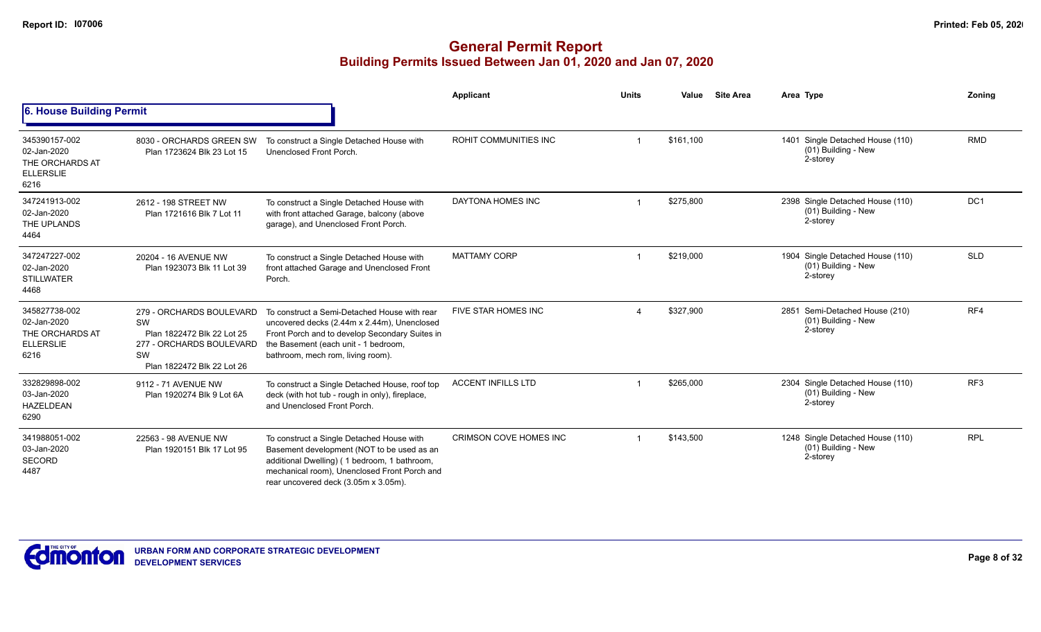|                                                                             |                                                                                                                              |                                                                                                                                                                                                                                 | Applicant                    | <b>Units</b> | Value     | <b>Site Area</b> | Area Type                                                           | Zoning          |
|-----------------------------------------------------------------------------|------------------------------------------------------------------------------------------------------------------------------|---------------------------------------------------------------------------------------------------------------------------------------------------------------------------------------------------------------------------------|------------------------------|--------------|-----------|------------------|---------------------------------------------------------------------|-----------------|
| 6. House Building Permit                                                    |                                                                                                                              |                                                                                                                                                                                                                                 |                              |              |           |                  |                                                                     |                 |
| 345390157-002<br>02-Jan-2020<br>THE ORCHARDS AT<br><b>ELLERSLIE</b><br>6216 | 8030 - ORCHARDS GREEN SW<br>Plan 1723624 Blk 23 Lot 15                                                                       | To construct a Single Detached House with<br>Unenclosed Front Porch.                                                                                                                                                            | <b>ROHIT COMMUNITIES INC</b> |              | \$161,100 |                  | 1401 Single Detached House (110)<br>(01) Building - New<br>2-storey | <b>RMD</b>      |
| 347241913-002<br>02-Jan-2020<br>THE UPLANDS<br>4464                         | 2612 - 198 STREET NW<br>Plan 1721616 Blk 7 Lot 11                                                                            | To construct a Single Detached House with<br>with front attached Garage, balcony (above<br>garage), and Unenclosed Front Porch.                                                                                                 | DAYTONA HOMES INC            |              | \$275,800 |                  | 2398 Single Detached House (110)<br>(01) Building - New<br>2-storey | DC1             |
| 347247227-002<br>02-Jan-2020<br><b>STILLWATER</b><br>4468                   | 20204 - 16 AVENUE NW<br>Plan 1923073 Blk 11 Lot 39                                                                           | To construct a Single Detached House with<br>front attached Garage and Unenclosed Front<br>Porch.                                                                                                                               | <b>MATTAMY CORP</b>          |              | \$219,000 |                  | 1904 Single Detached House (110)<br>(01) Building - New<br>2-storey | <b>SLD</b>      |
| 345827738-002<br>02-Jan-2020<br>THE ORCHARDS AT<br><b>ELLERSLIE</b><br>6216 | 279 - ORCHARDS BOULEVARD<br>SW<br>Plan 1822472 Blk 22 Lot 25<br>277 - ORCHARDS BOULEVARD<br>SW<br>Plan 1822472 Blk 22 Lot 26 | To construct a Semi-Detached House with rear<br>uncovered decks (2.44m x 2.44m), Unenclosed<br>Front Porch and to develop Secondary Suites in<br>the Basement (each unit - 1 bedroom,<br>bathroom, mech rom, living room).      | FIVE STAR HOMES INC          |              | \$327,900 |                  | 2851 Semi-Detached House (210)<br>(01) Building - New<br>2-storey   | RF4             |
| 332829898-002<br>03-Jan-2020<br><b>HAZELDEAN</b><br>6290                    | 9112 - 71 AVENUE NW<br>Plan 1920274 Blk 9 Lot 6A                                                                             | To construct a Single Detached House, roof top<br>deck (with hot tub - rough in only), fireplace,<br>and Unenclosed Front Porch.                                                                                                | <b>ACCENT INFILLS LTD</b>    |              | \$265,000 |                  | 2304 Single Detached House (110)<br>(01) Building - New<br>2-storey | RF <sub>3</sub> |
| 341988051-002<br>03-Jan-2020<br>SECORD<br>4487                              | 22563 - 98 AVENUE NW<br>Plan 1920151 Blk 17 Lot 95                                                                           | To construct a Single Detached House with<br>Basement development (NOT to be used as an<br>additional Dwelling) (1 bedroom, 1 bathroom,<br>mechanical room), Unenclosed Front Porch and<br>rear uncovered deck (3.05m x 3.05m). | CRIMSON COVE HOMES INC       |              | \$143,500 |                  | 1248 Single Detached House (110)<br>(01) Building - New<br>2-storey | <b>RPL</b>      |

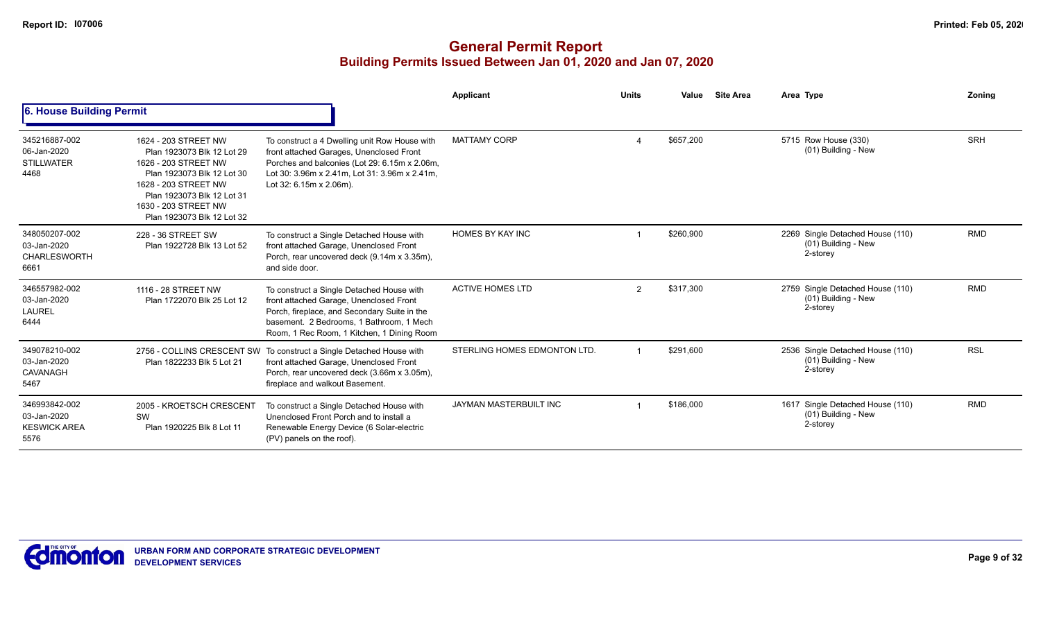|                                                             |                                                                                                                                                                                                                      |                                                                                                                                                                                                                                | Applicant                    | <b>Units</b> | Value     | <b>Site Area</b> | Area Type                                                           | Zoning     |
|-------------------------------------------------------------|----------------------------------------------------------------------------------------------------------------------------------------------------------------------------------------------------------------------|--------------------------------------------------------------------------------------------------------------------------------------------------------------------------------------------------------------------------------|------------------------------|--------------|-----------|------------------|---------------------------------------------------------------------|------------|
| <b>6. House Building Permit</b>                             |                                                                                                                                                                                                                      |                                                                                                                                                                                                                                |                              |              |           |                  |                                                                     |            |
| 345216887-002<br>06-Jan-2020<br><b>STILLWATER</b><br>4468   | 1624 - 203 STREET NW<br>Plan 1923073 Blk 12 Lot 29<br>1626 - 203 STREET NW<br>Plan 1923073 Blk 12 Lot 30<br>1628 - 203 STREET NW<br>Plan 1923073 Blk 12 Lot 31<br>1630 - 203 STREET NW<br>Plan 1923073 Blk 12 Lot 32 | To construct a 4 Dwelling unit Row House with<br>front attached Garages, Unenclosed Front<br>Porches and balconies (Lot 29: 6.15m x 2.06m,<br>Lot 30: 3.96m x 2.41m, Lot 31: 3.96m x 2.41m.<br>Lot 32: 6.15m x 2.06m).         | <b>MATTAMY CORP</b>          |              | \$657,200 |                  | 5715 Row House (330)<br>(01) Building - New                         | <b>SRH</b> |
| 348050207-002<br>03-Jan-2020<br><b>CHARLESWORTH</b><br>6661 | 228 - 36 STREET SW<br>Plan 1922728 Blk 13 Lot 52                                                                                                                                                                     | To construct a Single Detached House with<br>front attached Garage, Unenclosed Front<br>Porch, rear uncovered deck (9.14m x 3.35m),<br>and side door.                                                                          | <b>HOMES BY KAY INC</b>      |              | \$260,900 |                  | 2269 Single Detached House (110)<br>(01) Building - New<br>2-storey | <b>RMD</b> |
| 346557982-002<br>03-Jan-2020<br><b>LAUREL</b><br>6444       | 1116 - 28 STREET NW<br>Plan 1722070 Blk 25 Lot 12                                                                                                                                                                    | To construct a Single Detached House with<br>front attached Garage, Unenclosed Front<br>Porch, fireplace, and Secondary Suite in the<br>basement. 2 Bedrooms, 1 Bathroom, 1 Mech<br>Room, 1 Rec Room, 1 Kitchen, 1 Dining Room | <b>ACTIVE HOMES LTD</b>      | 2            | \$317.300 |                  | 2759 Single Detached House (110)<br>(01) Building - New<br>2-storey | <b>RMD</b> |
| 349078210-002<br>03-Jan-2020<br>CAVANAGH<br>5467            | 2756 - COLLINS CRESCENT SW<br>Plan 1822233 Blk 5 Lot 21                                                                                                                                                              | To construct a Single Detached House with<br>front attached Garage, Unenclosed Front<br>Porch, rear uncovered deck (3.66m x 3.05m),<br>fireplace and walkout Basement.                                                         | STERLING HOMES EDMONTON LTD. |              | \$291,600 |                  | 2536 Single Detached House (110)<br>(01) Building - New<br>2-storey | <b>RSL</b> |
| 346993842-002<br>03-Jan-2020<br><b>KESWICK AREA</b><br>5576 | 2005 - KROETSCH CRESCENT<br>SW<br>Plan 1920225 Blk 8 Lot 11                                                                                                                                                          | To construct a Single Detached House with<br>Unenclosed Front Porch and to install a<br>Renewable Energy Device (6 Solar-electric<br>(PV) panels on the roof).                                                                 | JAYMAN MASTERBUILT INC       |              | \$186,000 |                  | 1617 Single Detached House (110)<br>(01) Building - New<br>2-storey | <b>RMD</b> |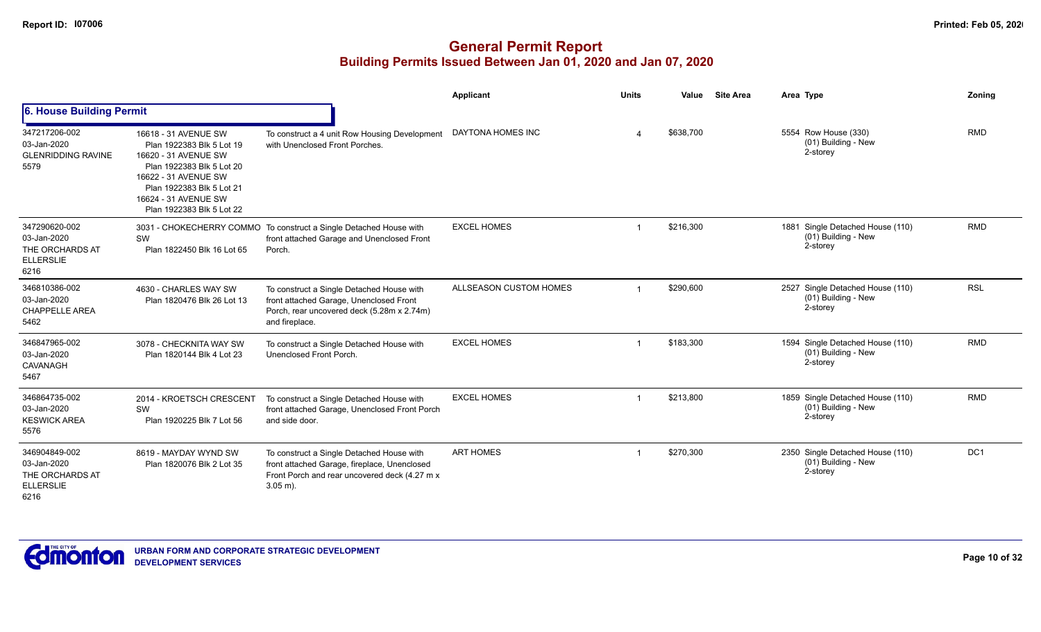|                                                                             |                                                                                                                                                                                                                  |                                                                                                                                                          | <b>Applicant</b>       | <b>Units</b> | Value     | <b>Site Area</b> | Area Type                                                           | Zoning          |
|-----------------------------------------------------------------------------|------------------------------------------------------------------------------------------------------------------------------------------------------------------------------------------------------------------|----------------------------------------------------------------------------------------------------------------------------------------------------------|------------------------|--------------|-----------|------------------|---------------------------------------------------------------------|-----------------|
| 6. House Building Permit                                                    |                                                                                                                                                                                                                  |                                                                                                                                                          |                        |              |           |                  |                                                                     |                 |
| 347217206-002<br>03-Jan-2020<br><b>GLENRIDDING RAVINE</b><br>5579           | 16618 - 31 AVENUE SW<br>Plan 1922383 Blk 5 Lot 19<br>16620 - 31 AVENUE SW<br>Plan 1922383 Blk 5 Lot 20<br>16622 - 31 AVENUE SW<br>Plan 1922383 Blk 5 Lot 21<br>16624 - 31 AVENUE SW<br>Plan 1922383 Blk 5 Lot 22 | To construct a 4 unit Row Housing Development<br>with Unenclosed Front Porches.                                                                          | DAYTONA HOMES INC      |              | \$638,700 |                  | 5554 Row House (330)<br>(01) Building - New<br>2-storey             | <b>RMD</b>      |
| 347290620-002<br>03-Jan-2020<br>THE ORCHARDS AT<br><b>ELLERSLIE</b><br>6216 | SW<br>Plan 1822450 Blk 16 Lot 65                                                                                                                                                                                 | 3031 - CHOKECHERRY COMMO To construct a Single Detached House with<br>front attached Garage and Unenclosed Front<br>Porch.                               | <b>EXCEL HOMES</b>     |              | \$216,300 |                  | 1881 Single Detached House (110)<br>(01) Building - New<br>2-storey | <b>RMD</b>      |
| 346810386-002<br>03-Jan-2020<br><b>CHAPPELLE AREA</b><br>5462               | 4630 - CHARLES WAY SW<br>Plan 1820476 Blk 26 Lot 13                                                                                                                                                              | To construct a Single Detached House with<br>front attached Garage, Unenclosed Front<br>Porch, rear uncovered deck (5.28m x 2.74m)<br>and fireplace.     | ALLSEASON CUSTOM HOMES |              | \$290,600 |                  | 2527 Single Detached House (110)<br>(01) Building - New<br>2-storey | <b>RSL</b>      |
| 346847965-002<br>03-Jan-2020<br>CAVANAGH<br>5467                            | 3078 - CHECKNITA WAY SW<br>Plan 1820144 Blk 4 Lot 23                                                                                                                                                             | To construct a Single Detached House with<br>Unenclosed Front Porch.                                                                                     | <b>EXCEL HOMES</b>     |              | \$183,300 |                  | 1594 Single Detached House (110)<br>(01) Building - New<br>2-storey | <b>RMD</b>      |
| 346864735-002<br>03-Jan-2020<br><b>KESWICK AREA</b><br>5576                 | 2014 - KROETSCH CRESCENT<br>SW<br>Plan 1920225 Blk 7 Lot 56                                                                                                                                                      | To construct a Single Detached House with<br>front attached Garage, Unenclosed Front Porch<br>and side door.                                             | <b>EXCEL HOMES</b>     |              | \$213,800 |                  | 1859 Single Detached House (110)<br>(01) Building - New<br>2-storey | <b>RMD</b>      |
| 346904849-002<br>03-Jan-2020<br>THE ORCHARDS AT<br><b>ELLERSLIE</b><br>6216 | 8619 - MAYDAY WYND SW<br>Plan 1820076 Blk 2 Lot 35                                                                                                                                                               | To construct a Single Detached House with<br>front attached Garage, fireplace, Unenclosed<br>Front Porch and rear uncovered deck (4.27 m x<br>$3.05$ m). | <b>ART HOMES</b>       |              | \$270,300 |                  | 2350 Single Detached House (110)<br>(01) Building - New<br>2-storey | DC <sub>1</sub> |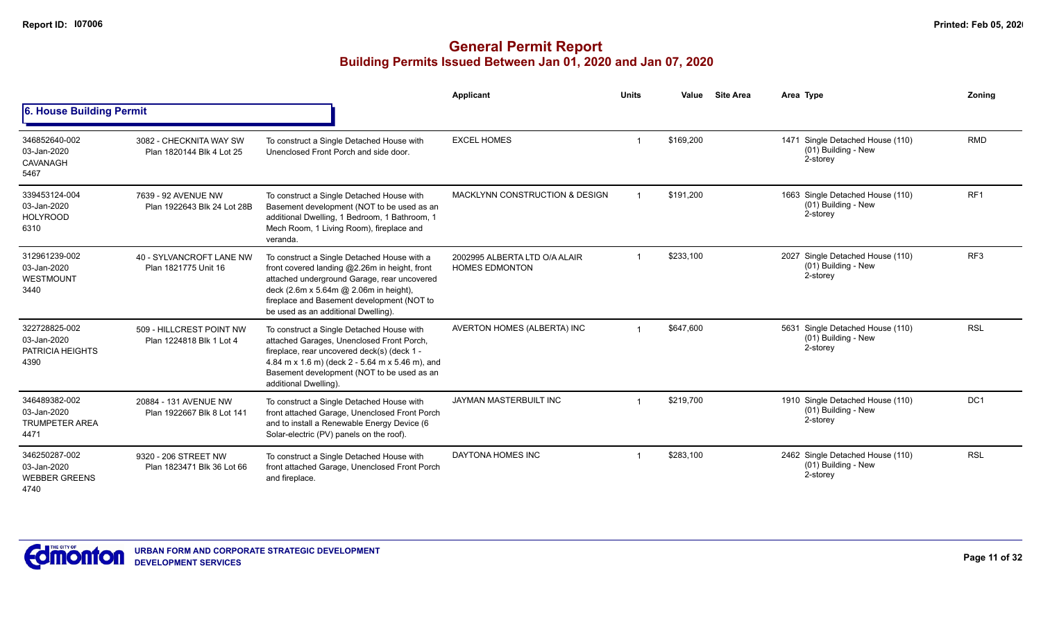|                                                               |                                                      |                                                                                                                                                                                                                                                                            | Applicant                                              | <b>Units</b> | Value     | <b>Site Area</b> | Area Type                                                             | Zonina          |
|---------------------------------------------------------------|------------------------------------------------------|----------------------------------------------------------------------------------------------------------------------------------------------------------------------------------------------------------------------------------------------------------------------------|--------------------------------------------------------|--------------|-----------|------------------|-----------------------------------------------------------------------|-----------------|
| 6. House Building Permit                                      |                                                      |                                                                                                                                                                                                                                                                            |                                                        |              |           |                  |                                                                       |                 |
| 346852640-002<br>03-Jan-2020<br>CAVANAGH<br>5467              | 3082 - CHECKNITA WAY SW<br>Plan 1820144 Blk 4 Lot 25 | To construct a Single Detached House with<br>Unenclosed Front Porch and side door.                                                                                                                                                                                         | <b>EXCEL HOMES</b>                                     |              | \$169,200 |                  | 1471 Single Detached House (110)<br>(01) Building - New<br>2-storey   | <b>RMD</b>      |
| 339453124-004<br>03-Jan-2020<br><b>HOLYROOD</b><br>6310       | 7639 - 92 AVENUE NW<br>Plan 1922643 Blk 24 Lot 28B   | To construct a Single Detached House with<br>Basement development (NOT to be used as an<br>additional Dwelling, 1 Bedroom, 1 Bathroom, 1<br>Mech Room, 1 Living Room), fireplace and<br>veranda.                                                                           | <b>MACKLYNN CONSTRUCTION &amp; DESIGN</b>              |              | \$191,200 |                  | 1663 Single Detached House (110)<br>(01) Building - New<br>2-storey   | RF <sub>1</sub> |
| 312961239-002<br>03-Jan-2020<br>WESTMOUNT<br>3440             | 40 - SYLVANCROFT LANE NW<br>Plan 1821775 Unit 16     | To construct a Single Detached House with a<br>front covered landing @2.26m in height, front<br>attached underground Garage, rear uncovered<br>deck (2.6m x 5.64m @ 2.06m in height),<br>fireplace and Basement development (NOT to<br>be used as an additional Dwelling). | 2002995 ALBERTA LTD O/A ALAIR<br><b>HOMES EDMONTON</b> |              | \$233,100 |                  | 2027 Single Detached House (110)<br>(01) Building - New<br>2-storey   | RF <sub>3</sub> |
| 322728825-002<br>03-Jan-2020<br>PATRICIA HEIGHTS<br>4390      | 509 - HILLCREST POINT NW<br>Plan 1224818 Blk 1 Lot 4 | To construct a Single Detached House with<br>attached Garages, Unenclosed Front Porch,<br>fireplace, rear uncovered deck(s) (deck 1 -<br>4.84 m x 1.6 m) (deck 2 - 5.64 m x 5.46 m), and<br>Basement development (NOT to be used as an<br>additional Dwelling).            | AVERTON HOMES (ALBERTA) INC                            |              | \$647.600 |                  | 5631 Single Detached House (110)<br>$(01)$ Building - New<br>2-storey | <b>RSL</b>      |
| 346489382-002<br>03-Jan-2020<br><b>TRUMPETER AREA</b><br>4471 | 20884 - 131 AVENUE NW<br>Plan 1922667 Blk 8 Lot 141  | To construct a Single Detached House with<br>front attached Garage, Unenclosed Front Porch<br>and to install a Renewable Energy Device (6<br>Solar-electric (PV) panels on the roof).                                                                                      | <b>JAYMAN MASTERBUILT INC</b>                          |              | \$219.700 |                  | 1910 Single Detached House (110)<br>(01) Building - New<br>2-storey   | DC <sub>1</sub> |
| 346250287-002<br>03-Jan-2020<br><b>WEBBER GREENS</b><br>4740  | 9320 - 206 STREET NW<br>Plan 1823471 Blk 36 Lot 66   | To construct a Single Detached House with<br>front attached Garage, Unenclosed Front Porch<br>and fireplace.                                                                                                                                                               | DAYTONA HOMES INC                                      |              | \$283,100 |                  | 2462 Single Detached House (110)<br>(01) Building - New<br>2-storey   | <b>RSL</b>      |

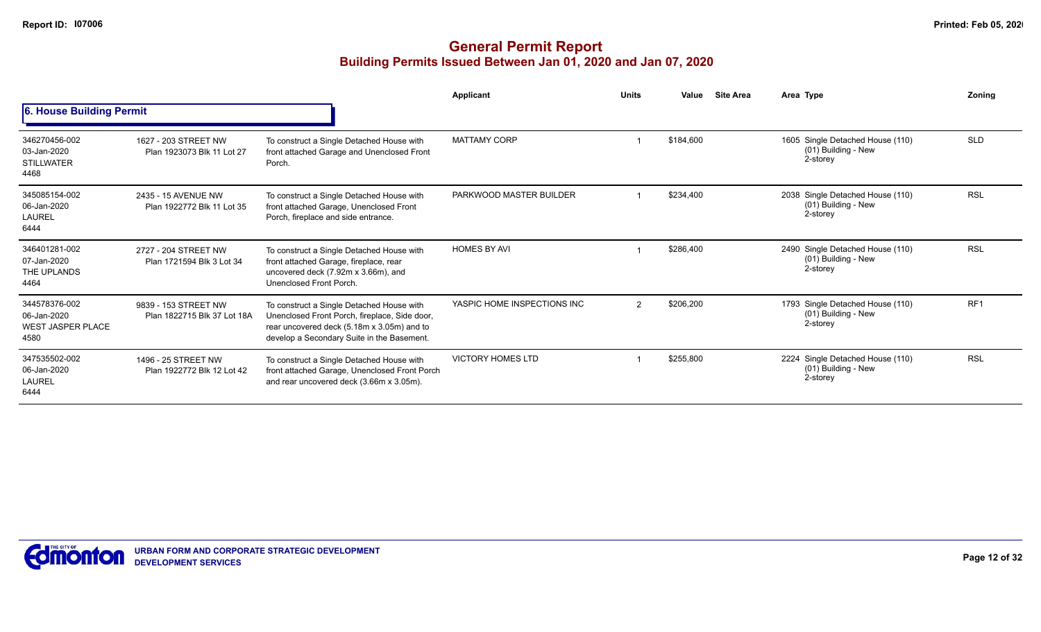|                                                                  |                                                     |                                                                                                                                                                                        | <b>Applicant</b>            | <b>Units</b> | Value<br><b>Site Area</b> | Area Type                                                           | Zonina          |
|------------------------------------------------------------------|-----------------------------------------------------|----------------------------------------------------------------------------------------------------------------------------------------------------------------------------------------|-----------------------------|--------------|---------------------------|---------------------------------------------------------------------|-----------------|
| 6. House Building Permit                                         |                                                     |                                                                                                                                                                                        |                             |              |                           |                                                                     |                 |
| 346270456-002<br>03-Jan-2020<br><b>STILLWATER</b><br>4468        | 1627 - 203 STREET NW<br>Plan 1923073 Blk 11 Lot 27  | To construct a Single Detached House with<br>front attached Garage and Unenclosed Front<br>Porch.                                                                                      | <b>MATTAMY CORP</b>         |              | \$184,600                 | 1605 Single Detached House (110)<br>(01) Building - New<br>2-storey | <b>SLD</b>      |
| 345085154-002<br>06-Jan-2020<br><b>LAUREL</b><br>6444            | 2435 - 15 AVENUE NW<br>Plan 1922772 Blk 11 Lot 35   | To construct a Single Detached House with<br>front attached Garage, Unenclosed Front<br>Porch, fireplace and side entrance.                                                            | PARKWOOD MASTER BUILDER     |              | \$234,400                 | 2038 Single Detached House (110)<br>(01) Building - New<br>2-storey | <b>RSL</b>      |
| 346401281-002<br>07-Jan-2020<br>THE UPLANDS<br>4464              | 2727 - 204 STREET NW<br>Plan 1721594 Blk 3 Lot 34   | To construct a Single Detached House with<br>front attached Garage, fireplace, rear<br>uncovered deck (7.92m x 3.66m), and<br>Unenclosed Front Porch.                                  | <b>HOMES BY AVI</b>         |              | \$286,400                 | 2490 Single Detached House (110)<br>(01) Building - New<br>2-storey | <b>RSL</b>      |
| 344578376-002<br>06-Jan-2020<br><b>WEST JASPER PLACE</b><br>4580 | 9839 - 153 STREET NW<br>Plan 1822715 Blk 37 Lot 18A | To construct a Single Detached House with<br>Unenclosed Front Porch, fireplace, Side door,<br>rear uncovered deck (5.18m x 3.05m) and to<br>develop a Secondary Suite in the Basement. | YASPIC HOME INSPECTIONS INC | 2            | \$206,200                 | 1793 Single Detached House (110)<br>(01) Building - New<br>2-storey | RF <sub>1</sub> |
| 347535502-002<br>06-Jan-2020<br><b>LAUREL</b><br>6444            | 1496 - 25 STREET NW<br>Plan 1922772 Blk 12 Lot 42   | To construct a Single Detached House with<br>front attached Garage, Unenclosed Front Porch<br>and rear uncovered deck (3.66m x 3.05m).                                                 | <b>VICTORY HOMES LTD</b>    |              | \$255,800                 | 2224 Single Detached House (110)<br>(01) Building - New<br>2-storey | <b>RSL</b>      |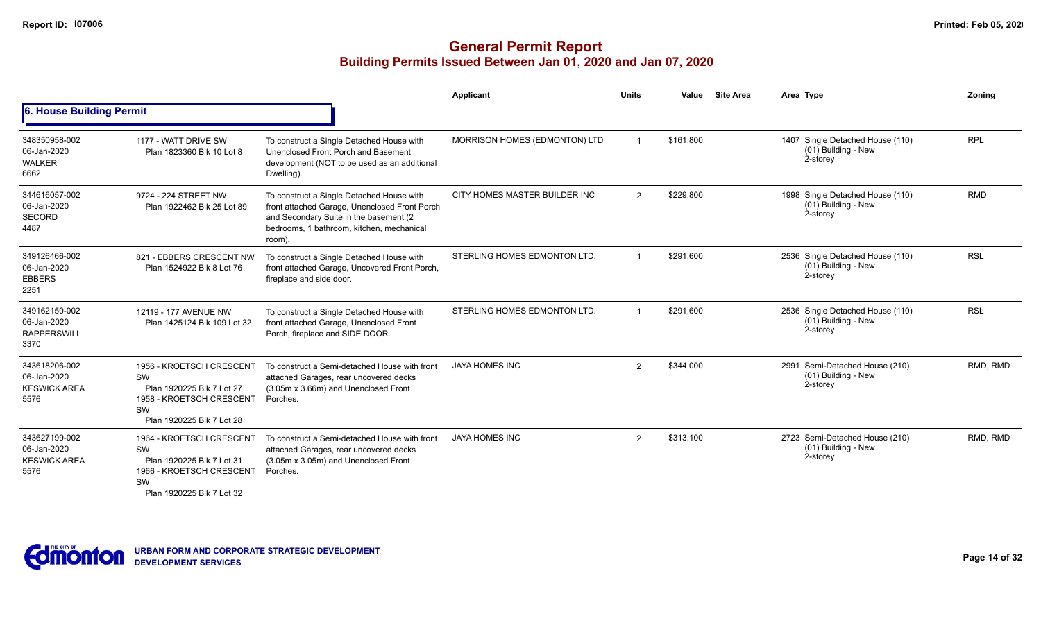|                                                             |                                                                                                                            |                                                                                                                                                                                             | Applicant                     | <b>Units</b>  | Value     | <b>Site Area</b> | Area Type                                                           | Zoning     |
|-------------------------------------------------------------|----------------------------------------------------------------------------------------------------------------------------|---------------------------------------------------------------------------------------------------------------------------------------------------------------------------------------------|-------------------------------|---------------|-----------|------------------|---------------------------------------------------------------------|------------|
| <b>6. House Building Permit</b>                             |                                                                                                                            |                                                                                                                                                                                             |                               |               |           |                  |                                                                     |            |
| 348350958-002<br>06-Jan-2020<br><b>WALKER</b><br>6662       | 1177 - WATT DRIVE SW<br>Plan 1823360 Blk 10 Lot 8                                                                          | To construct a Single Detached House with<br>Unenclosed Front Porch and Basement<br>development (NOT to be used as an additional<br>Dwelling).                                              | MORRISON HOMES (EDMONTON) LTD |               | \$161,800 |                  | 1407 Single Detached House (110)<br>(01) Building - New<br>2-storey | <b>RPL</b> |
| 344616057-002<br>06-Jan-2020<br><b>SECORD</b><br>4487       | 9724 - 224 STREET NW<br>Plan 1922462 Blk 25 Lot 89                                                                         | To construct a Single Detached House with<br>front attached Garage, Unenclosed Front Porch<br>and Secondary Suite in the basement (2<br>bedrooms, 1 bathroom, kitchen, mechanical<br>room). | CITY HOMES MASTER BUILDER INC | 2             | \$229,800 |                  | 1998 Single Detached House (110)<br>(01) Building - New<br>2-storey | <b>RMD</b> |
| 349126466-002<br>06-Jan-2020<br><b>EBBERS</b><br>2251       | 821 - EBBERS CRESCENT NW<br>Plan 1524922 Blk 8 Lot 76                                                                      | To construct a Single Detached House with<br>front attached Garage, Uncovered Front Porch,<br>fireplace and side door.                                                                      | STERLING HOMES EDMONTON LTD.  |               | \$291.600 |                  | 2536 Single Detached House (110)<br>(01) Building - New<br>2-storey | <b>RSL</b> |
| 349162150-002<br>06-Jan-2020<br><b>RAPPERSWILL</b><br>3370  | 12119 - 177 AVENUE NW<br>Plan 1425124 Blk 109 Lot 32                                                                       | To construct a Single Detached House with<br>front attached Garage, Unenclosed Front<br>Porch, fireplace and SIDE DOOR.                                                                     | STERLING HOMES EDMONTON LTD.  |               | \$291.600 |                  | 2536 Single Detached House (110)<br>(01) Building - New<br>2-storey | <b>RSL</b> |
| 343618206-002<br>06-Jan-2020<br><b>KESWICK AREA</b><br>5576 | 1956 - KROETSCH CRESCENT<br>SW<br>Plan 1920225 Blk 7 Lot 27<br>1958 - KROETSCH CRESCENT<br>SW<br>Plan 1920225 Blk 7 Lot 28 | To construct a Semi-detached House with front<br>attached Garages, rear uncovered decks<br>(3.05m x 3.66m) and Unenclosed Front<br>Porches.                                                 | <b>JAYA HOMES INC</b>         | $\mathcal{P}$ | \$344,000 |                  | 2991 Semi-Detached House (210)<br>(01) Building - New<br>2-storey   | RMD, RMD   |
| 343627199-002<br>06-Jan-2020<br><b>KESWICK AREA</b><br>5576 | 1964 - KROETSCH CRESCENT<br>SW<br>Plan 1920225 Blk 7 Lot 31<br>1966 - KROETSCH CRESCENT<br>SW<br>Plan 1920225 Blk 7 Lot 32 | To construct a Semi-detached House with front<br>attached Garages, rear uncovered decks<br>(3.05m x 3.05m) and Unenclosed Front<br>Porches.                                                 | <b>JAYA HOMES INC</b>         | 2             | \$313,100 |                  | 2723 Semi-Detached House (210)<br>(01) Building - New<br>2-storey   | RMD, RMD   |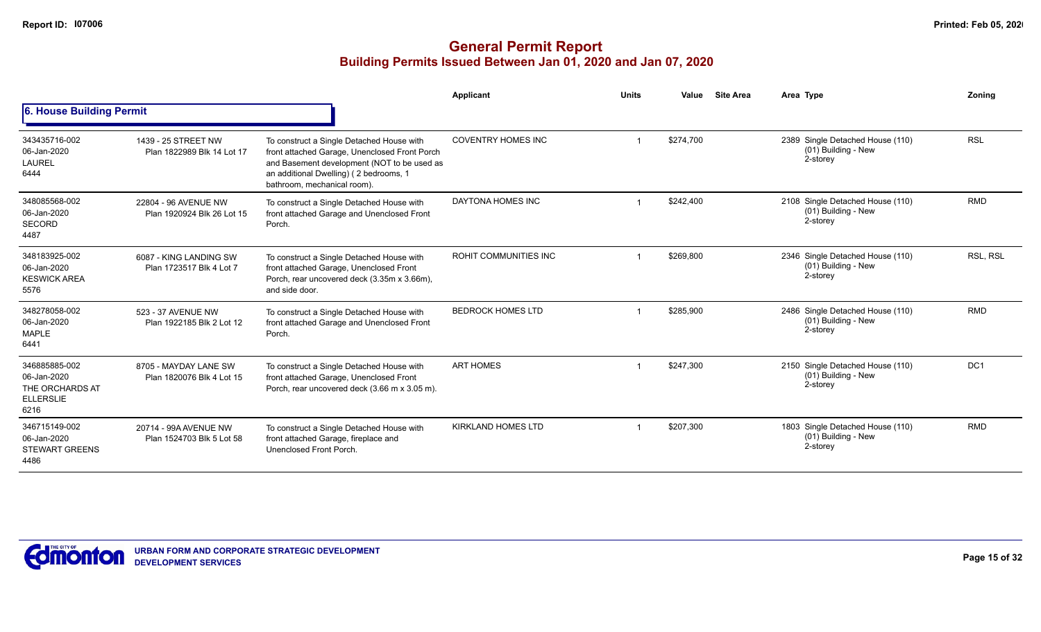|                                                                             |                                                    |                                                                                                                                                                                                                    | Applicant                    | <b>Units</b> | Value     | <b>Site Area</b> | Area Type                                                           | Zonina          |
|-----------------------------------------------------------------------------|----------------------------------------------------|--------------------------------------------------------------------------------------------------------------------------------------------------------------------------------------------------------------------|------------------------------|--------------|-----------|------------------|---------------------------------------------------------------------|-----------------|
| 6. House Building Permit                                                    |                                                    |                                                                                                                                                                                                                    |                              |              |           |                  |                                                                     |                 |
| 343435716-002<br>06-Jan-2020<br><b>LAUREL</b><br>6444                       | 1439 - 25 STREET NW<br>Plan 1822989 Blk 14 Lot 17  | To construct a Single Detached House with<br>front attached Garage, Unenclosed Front Porch<br>and Basement development (NOT to be used as<br>an additional Dwelling) (2 bedrooms, 1<br>bathroom, mechanical room). | <b>COVENTRY HOMES INC</b>    |              | \$274,700 |                  | 2389 Single Detached House (110)<br>(01) Building - New<br>2-storey | <b>RSL</b>      |
| 348085568-002<br>06-Jan-2020<br><b>SECORD</b><br>4487                       | 22804 - 96 AVENUE NW<br>Plan 1920924 Blk 26 Lot 15 | To construct a Single Detached House with<br>front attached Garage and Unenclosed Front<br>Porch.                                                                                                                  | DAYTONA HOMES INC            |              | \$242,400 |                  | 2108 Single Detached House (110)<br>(01) Building - New<br>2-storey | <b>RMD</b>      |
| 348183925-002<br>06-Jan-2020<br><b>KESWICK AREA</b><br>5576                 | 6087 - KING LANDING SW<br>Plan 1723517 Blk 4 Lot 7 | To construct a Single Detached House with<br>front attached Garage, Unenclosed Front<br>Porch, rear uncovered deck (3.35m x 3.66m),<br>and side door.                                                              | <b>ROHIT COMMUNITIES INC</b> |              | \$269,800 |                  | 2346 Single Detached House (110)<br>(01) Building - New<br>2-storey | RSL, RSL        |
| 348278058-002<br>06-Jan-2020<br><b>MAPLE</b><br>6441                        | 523 - 37 AVENUE NW<br>Plan 1922185 Blk 2 Lot 12    | To construct a Single Detached House with<br>front attached Garage and Unenclosed Front<br>Porch.                                                                                                                  | <b>BEDROCK HOMES LTD</b>     |              | \$285,900 |                  | 2486 Single Detached House (110)<br>(01) Building - New<br>2-storey | <b>RMD</b>      |
| 346885885-002<br>06-Jan-2020<br>THE ORCHARDS AT<br><b>ELLERSLIE</b><br>6216 | 8705 - MAYDAY LANE SW<br>Plan 1820076 Blk 4 Lot 15 | To construct a Single Detached House with<br>front attached Garage, Unenclosed Front<br>Porch, rear uncovered deck (3.66 m x 3.05 m).                                                                              | <b>ART HOMES</b>             |              | \$247.300 |                  | 2150 Single Detached House (110)<br>(01) Building - New<br>2-storey | DC <sub>1</sub> |
| 346715149-002<br>06-Jan-2020<br><b>STEWART GREENS</b><br>4486               | 20714 - 99A AVENUE NW<br>Plan 1524703 Blk 5 Lot 58 | To construct a Single Detached House with<br>front attached Garage, fireplace and<br>Unenclosed Front Porch.                                                                                                       | <b>KIRKLAND HOMES LTD</b>    |              | \$207,300 |                  | 1803 Single Detached House (110)<br>(01) Building - New<br>2-storey | <b>RMD</b>      |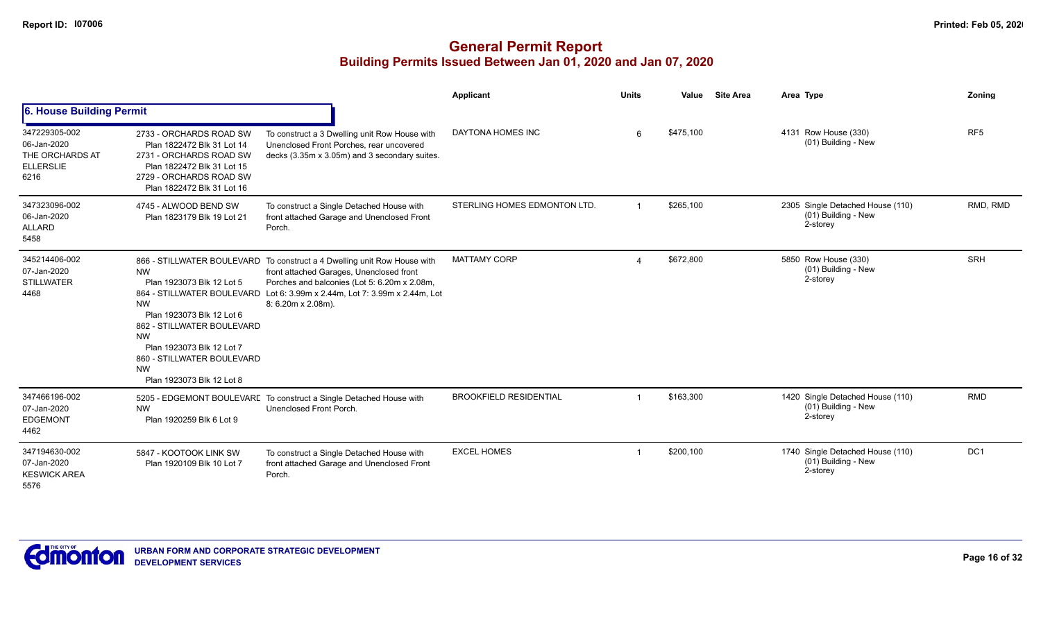|                                                                             |                                                                                                                                                                                                                                  |                                                                                                                                                                                                                                                                                 | Applicant                     | <b>Units</b>   | Value     | <b>Site Area</b> | Area Type                                                           | Zonina          |
|-----------------------------------------------------------------------------|----------------------------------------------------------------------------------------------------------------------------------------------------------------------------------------------------------------------------------|---------------------------------------------------------------------------------------------------------------------------------------------------------------------------------------------------------------------------------------------------------------------------------|-------------------------------|----------------|-----------|------------------|---------------------------------------------------------------------|-----------------|
| 6. House Building Permit                                                    |                                                                                                                                                                                                                                  |                                                                                                                                                                                                                                                                                 |                               |                |           |                  |                                                                     |                 |
| 347229305-002<br>06-Jan-2020<br>THE ORCHARDS AT<br><b>ELLERSLIE</b><br>6216 | 2733 - ORCHARDS ROAD SW<br>Plan 1822472 Blk 31 Lot 14<br>2731 - ORCHARDS ROAD SW<br>Plan 1822472 Blk 31 Lot 15<br>2729 - ORCHARDS ROAD SW<br>Plan 1822472 Blk 31 Lot 16                                                          | To construct a 3 Dwelling unit Row House with<br>Unenclosed Front Porches, rear uncovered<br>decks (3.35m x 3.05m) and 3 secondary suites.                                                                                                                                      | DAYTONA HOMES INC             | 6              | \$475,100 |                  | 4131 Row House (330)<br>(01) Building - New                         | RF <sub>5</sub> |
| 347323096-002<br>06-Jan-2020<br><b>ALLARD</b><br>5458                       | 4745 - ALWOOD BEND SW<br>Plan 1823179 Blk 19 Lot 21                                                                                                                                                                              | To construct a Single Detached House with<br>front attached Garage and Unenclosed Front<br>Porch.                                                                                                                                                                               | STERLING HOMES EDMONTON LTD.  | $\overline{1}$ | \$265,100 |                  | 2305 Single Detached House (110)<br>(01) Building - New<br>2-storey | RMD, RMD        |
| 345214406-002<br>07-Jan-2020<br><b>STILLWATER</b><br>4468                   | <b>NW</b><br>Plan 1923073 Blk 12 Lot 5<br><b>NW</b><br>Plan 1923073 Blk 12 Lot 6<br>862 - STILLWATER BOULEVARD<br><b>NW</b><br>Plan 1923073 Blk 12 Lot 7<br>860 - STILLWATER BOULEVARD<br><b>NW</b><br>Plan 1923073 Blk 12 Lot 8 | 866 - STILLWATER BOULEVARD To construct a 4 Dwelling unit Row House with<br>front attached Garages, Unenclosed front<br>Porches and balconies (Lot 5: 6.20m x 2.08m,<br>864 - STILLWATER BOULEVARD Lot 6: 3.99m x 2.44m, Lot 7: 3.99m x 2.44m, Lot<br>$8:6.20m \times 2.08m$ ). | <b>MATTAMY CORP</b>           |                | \$672,800 |                  | 5850 Row House (330)<br>(01) Building - New<br>2-storey             | <b>SRH</b>      |
| 347466196-002<br>07-Jan-2020<br><b>EDGEMONT</b><br>4462                     | <b>NW</b><br>Plan 1920259 Blk 6 Lot 9                                                                                                                                                                                            | 5205 - EDGEMONT BOULEVARE To construct a Single Detached House with<br>Unenclosed Front Porch.                                                                                                                                                                                  | <b>BROOKFIELD RESIDENTIAL</b> | -1             | \$163,300 |                  | 1420 Single Detached House (110)<br>(01) Building - New<br>2-storey | <b>RMD</b>      |
| 347194630-002<br>07-Jan-2020<br><b>KESWICK AREA</b><br>5576                 | 5847 - KOOTOOK LINK SW<br>Plan 1920109 Blk 10 Lot 7                                                                                                                                                                              | To construct a Single Detached House with<br>front attached Garage and Unenclosed Front<br>Porch.                                                                                                                                                                               | <b>EXCEL HOMES</b>            |                | \$200,100 |                  | 1740 Single Detached House (110)<br>(01) Building - New<br>2-storey | DC1             |

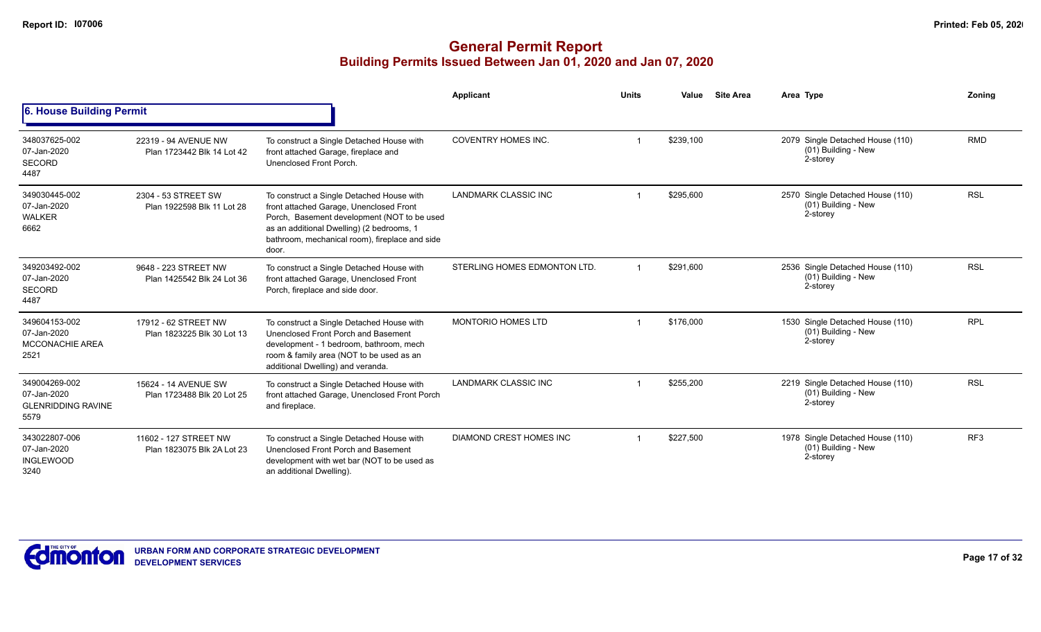|                                                                   |                                                     |                                                                                                                                                                                                                                             | <b>Applicant</b>               | <b>Units</b> | Value     | <b>Site Area</b> | Area Type                                                           | Zoning          |
|-------------------------------------------------------------------|-----------------------------------------------------|---------------------------------------------------------------------------------------------------------------------------------------------------------------------------------------------------------------------------------------------|--------------------------------|--------------|-----------|------------------|---------------------------------------------------------------------|-----------------|
| 6. House Building Permit                                          |                                                     |                                                                                                                                                                                                                                             |                                |              |           |                  |                                                                     |                 |
| 348037625-002<br>07-Jan-2020<br><b>SECORD</b><br>4487             | 22319 - 94 AVENUE NW<br>Plan 1723442 Blk 14 Lot 42  | To construct a Single Detached House with<br>front attached Garage, fireplace and<br>Unenclosed Front Porch.                                                                                                                                | <b>COVENTRY HOMES INC.</b>     |              | \$239,100 |                  | 2079 Single Detached House (110)<br>(01) Building - New<br>2-storey | <b>RMD</b>      |
| 349030445-002<br>07-Jan-2020<br><b>WALKER</b><br>6662             | 2304 - 53 STREET SW<br>Plan 1922598 Blk 11 Lot 28   | To construct a Single Detached House with<br>front attached Garage, Unenclosed Front<br>Porch, Basement development (NOT to be used<br>as an additional Dwelling) (2 bedrooms, 1<br>bathroom, mechanical room), fireplace and side<br>door. | LANDMARK CLASSIC INC           |              | \$295,600 |                  | 2570 Single Detached House (110)<br>(01) Building - New<br>2-storey | <b>RSL</b>      |
| 349203492-002<br>07-Jan-2020<br><b>SECORD</b><br>4487             | 9648 - 223 STREET NW<br>Plan 1425542 Blk 24 Lot 36  | To construct a Single Detached House with<br>front attached Garage, Unenclosed Front<br>Porch, fireplace and side door.                                                                                                                     | STERLING HOMES EDMONTON LTD.   |              | \$291,600 |                  | 2536 Single Detached House (110)<br>(01) Building - New<br>2-storey | <b>RSL</b>      |
| 349604153-002<br>07-Jan-2020<br><b>MCCONACHIE AREA</b><br>2521    | 17912 - 62 STREET NW<br>Plan 1823225 Blk 30 Lot 13  | To construct a Single Detached House with<br>Unenclosed Front Porch and Basement<br>development - 1 bedroom, bathroom, mech<br>room & family area (NOT to be used as an<br>additional Dwelling) and veranda.                                | <b>MONTORIO HOMES LTD</b>      |              | \$176,000 |                  | 1530 Single Detached House (110)<br>(01) Building - New<br>2-storey | <b>RPL</b>      |
| 349004269-002<br>07-Jan-2020<br><b>GLENRIDDING RAVINE</b><br>5579 | 15624 - 14 AVENUE SW<br>Plan 1723488 Blk 20 Lot 25  | To construct a Single Detached House with<br>front attached Garage, Unenclosed Front Porch<br>and fireplace.                                                                                                                                | LANDMARK CLASSIC INC           |              | \$255,200 |                  | 2219 Single Detached House (110)<br>(01) Building - New<br>2-storey | <b>RSL</b>      |
| 343022807-006<br>07-Jan-2020<br><b>INGLEWOOD</b><br>3240          | 11602 - 127 STREET NW<br>Plan 1823075 Blk 2A Lot 23 | To construct a Single Detached House with<br>Unenclosed Front Porch and Basement<br>development with wet bar (NOT to be used as<br>an additional Dwelling).                                                                                 | <b>DIAMOND CREST HOMES INC</b> |              | \$227,500 |                  | 1978 Single Detached House (110)<br>(01) Building - New<br>2-storey | RF <sub>3</sub> |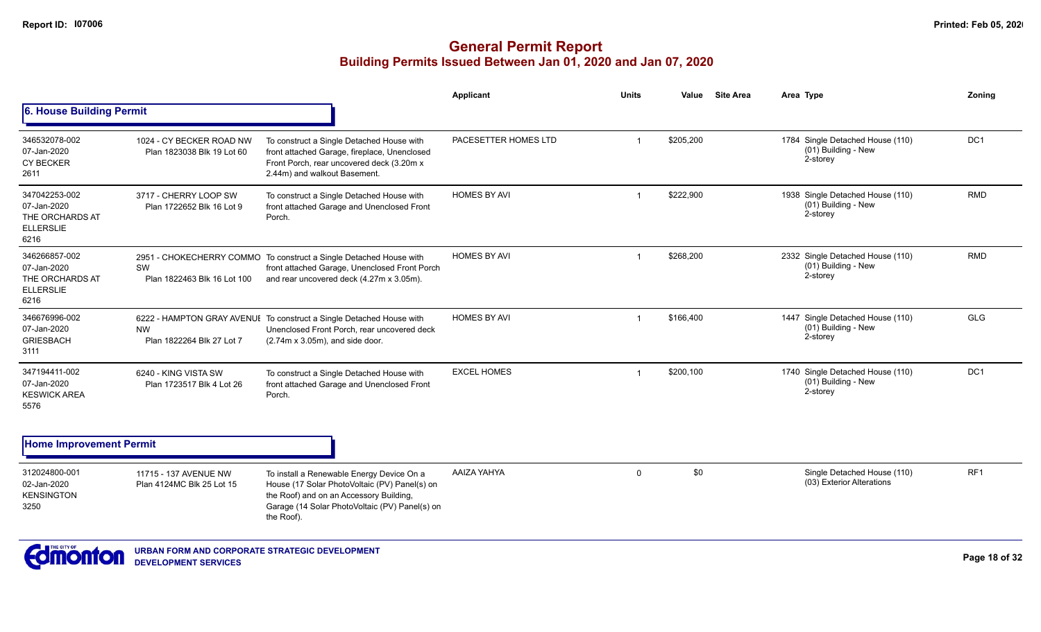|                                                                             |                                                        |                                                                                                                                                                                                       | Applicant            | <b>Units</b>            | <b>Site Area</b><br>Value | Area Type                                                           | Zoning          |
|-----------------------------------------------------------------------------|--------------------------------------------------------|-------------------------------------------------------------------------------------------------------------------------------------------------------------------------------------------------------|----------------------|-------------------------|---------------------------|---------------------------------------------------------------------|-----------------|
| <b>6. House Building Permit</b>                                             |                                                        |                                                                                                                                                                                                       |                      |                         |                           |                                                                     |                 |
| 346532078-002<br>07-Jan-2020<br><b>CY BECKER</b><br>2611                    | 1024 - CY BECKER ROAD NW<br>Plan 1823038 Blk 19 Lot 60 | To construct a Single Detached House with<br>front attached Garage, fireplace, Unenclosed<br>Front Porch, rear uncovered deck (3.20m x<br>2.44m) and walkout Basement.                                | PACESETTER HOMES LTD | $\overline{\mathbf{1}}$ | \$205,200                 | 1784 Single Detached House (110)<br>(01) Building - New<br>2-storey | DC <sub>1</sub> |
| 347042253-002<br>07-Jan-2020<br>THE ORCHARDS AT<br><b>ELLERSLIE</b><br>6216 | 3717 - CHERRY LOOP SW<br>Plan 1722652 Blk 16 Lot 9     | To construct a Single Detached House with<br>front attached Garage and Unenclosed Front<br>Porch.                                                                                                     | <b>HOMES BY AVI</b>  | -1                      | \$222,900                 | 1938 Single Detached House (110)<br>(01) Building - New<br>2-storey | <b>RMD</b>      |
| 346266857-002<br>07-Jan-2020<br>THE ORCHARDS AT<br><b>ELLERSLIE</b><br>6216 | SW<br>Plan 1822463 Blk 16 Lot 100                      | 2951 - CHOKECHERRY COMMO To construct a Single Detached House with<br>front attached Garage, Unenclosed Front Porch<br>and rear uncovered deck (4.27m x 3.05m).                                       | <b>HOMES BY AVI</b>  | $\overline{1}$          | \$268,200                 | 2332 Single Detached House (110)<br>(01) Building - New<br>2-storey | <b>RMD</b>      |
| 346676996-002<br>07-Jan-2020<br><b>GRIESBACH</b><br>3111                    | <b>NW</b><br>Plan 1822264 Blk 27 Lot 7                 | 6222 - HAMPTON GRAY AVENUE To construct a Single Detached House with<br>Unenclosed Front Porch, rear uncovered deck<br>$(2.74m \times 3.05m)$ , and side door.                                        | <b>HOMES BY AVI</b>  | -1                      | \$166,400                 | 1447 Single Detached House (110)<br>(01) Building - New<br>2-storey | <b>GLG</b>      |
| 347194411-002<br>07-Jan-2020<br><b>KESWICK AREA</b><br>5576                 | 6240 - KING VISTA SW<br>Plan 1723517 Blk 4 Lot 26      | To construct a Single Detached House with<br>front attached Garage and Unenclosed Front<br>Porch.                                                                                                     | <b>EXCEL HOMES</b>   | -1                      | \$200,100                 | 1740 Single Detached House (110)<br>(01) Building - New<br>2-storey | DC <sub>1</sub> |
| <b>Home Improvement Permit</b>                                              |                                                        |                                                                                                                                                                                                       |                      |                         |                           |                                                                     |                 |
| 312024800-001<br>02-Jan-2020<br><b>KENSINGTON</b><br>3250                   | 11715 - 137 AVENUE NW<br>Plan 4124MC Blk 25 Lot 15     | To install a Renewable Energy Device On a<br>House (17 Solar PhotoVoltaic (PV) Panel(s) on<br>the Roof) and on an Accessory Building,<br>Garage (14 Solar PhotoVoltaic (PV) Panel(s) on<br>the Roof). | AAIZA YAHYA          | $\Omega$                | \$0                       | Single Detached House (110)<br>(03) Exterior Alterations            | RF <sub>1</sub> |

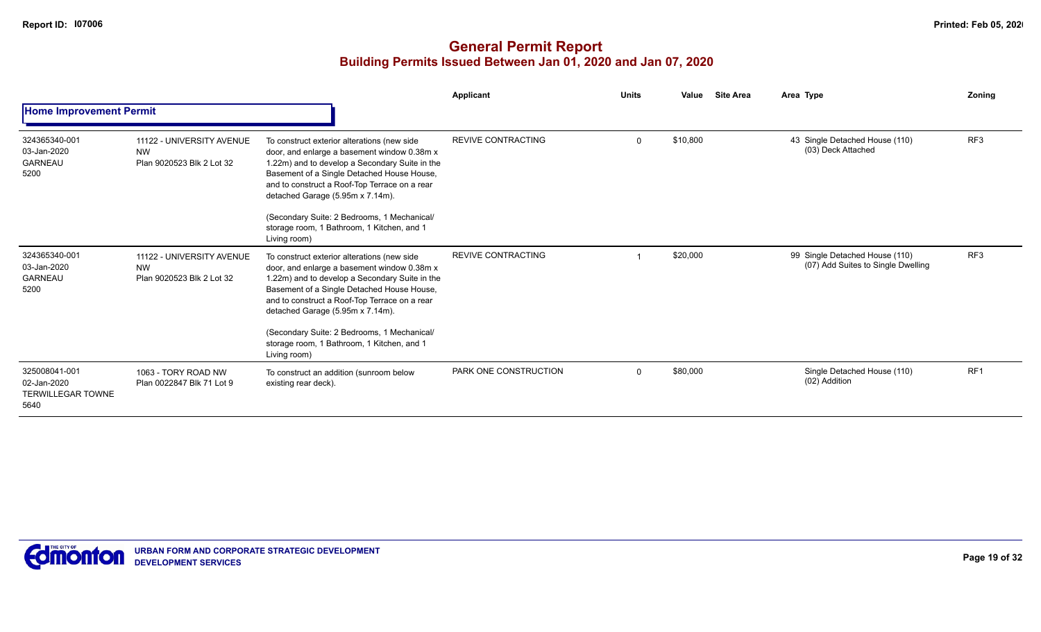|                                                                  |                                                                     |                                                                                                                                                                                                                                                                                                                                                                                              | Applicant                 | <b>Units</b> | Value    | <b>Site Area</b> | Area Type                                                            | <b>Zoning</b>   |
|------------------------------------------------------------------|---------------------------------------------------------------------|----------------------------------------------------------------------------------------------------------------------------------------------------------------------------------------------------------------------------------------------------------------------------------------------------------------------------------------------------------------------------------------------|---------------------------|--------------|----------|------------------|----------------------------------------------------------------------|-----------------|
| <b>Home Improvement Permit</b>                                   |                                                                     |                                                                                                                                                                                                                                                                                                                                                                                              |                           |              |          |                  |                                                                      |                 |
| 324365340-001<br>03-Jan-2020<br><b>GARNEAU</b><br>5200           | 11122 - UNIVERSITY AVENUE<br><b>NW</b><br>Plan 9020523 Blk 2 Lot 32 | To construct exterior alterations (new side<br>door, and enlarge a basement window 0.38m x<br>1.22m) and to develop a Secondary Suite in the<br>Basement of a Single Detached House House,<br>and to construct a Roof-Top Terrace on a rear<br>detached Garage (5.95m x 7.14m).<br>(Secondary Suite: 2 Bedrooms, 1 Mechanical/<br>storage room, 1 Bathroom, 1 Kitchen, and 1<br>Living room) | <b>REVIVE CONTRACTING</b> | $\Omega$     | \$10,800 |                  | 43 Single Detached House (110)<br>(03) Deck Attached                 | RF <sub>3</sub> |
| 324365340-001<br>03-Jan-2020<br><b>GARNEAU</b><br>5200           | 11122 - UNIVERSITY AVENUE<br><b>NW</b><br>Plan 9020523 Blk 2 Lot 32 | To construct exterior alterations (new side<br>door, and enlarge a basement window 0.38m x<br>1.22m) and to develop a Secondary Suite in the<br>Basement of a Single Detached House House,<br>and to construct a Roof-Top Terrace on a rear<br>detached Garage (5.95m x 7.14m).<br>(Secondary Suite: 2 Bedrooms, 1 Mechanical/<br>storage room, 1 Bathroom, 1 Kitchen, and 1<br>Living room) | <b>REVIVE CONTRACTING</b> |              | \$20,000 |                  | 99 Single Detached House (110)<br>(07) Add Suites to Single Dwelling | RF <sub>3</sub> |
| 325008041-001<br>02-Jan-2020<br><b>TERWILLEGAR TOWNE</b><br>5640 | 1063 - TORY ROAD NW<br>Plan 0022847 Blk 71 Lot 9                    | To construct an addition (sunroom below<br>existing rear deck).                                                                                                                                                                                                                                                                                                                              | PARK ONE CONSTRUCTION     | $\Omega$     | \$80,000 |                  | Single Detached House (110)<br>(02) Addition                         | RF <sub>1</sub> |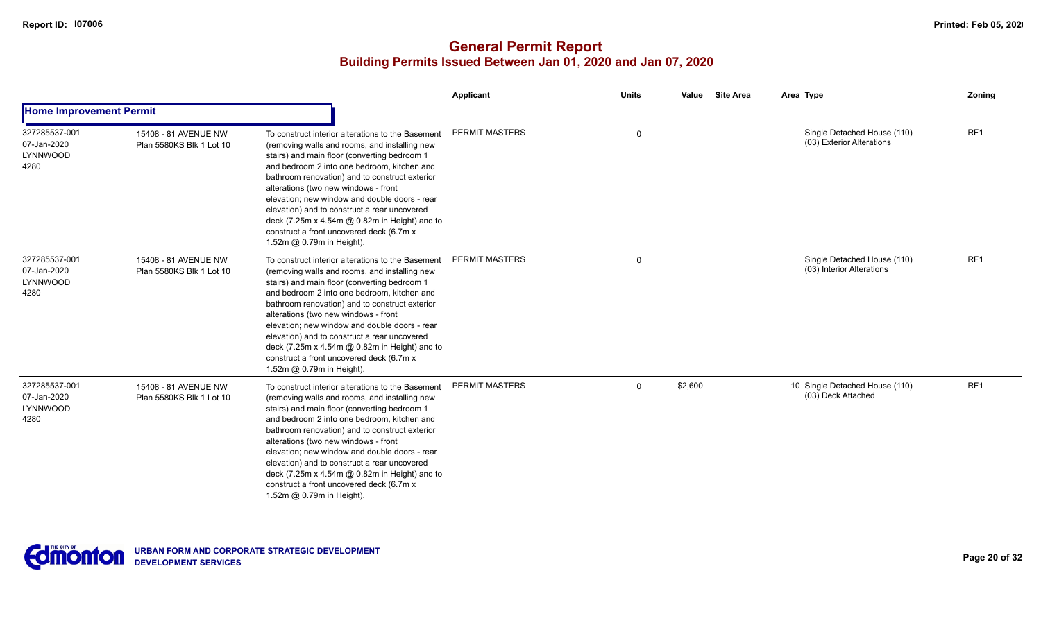|                                                  |                                                  |                                                                                                                                                                                                                                                                                                                                                                                                                                                                                                                        | Applicant             | <b>Units</b> | Value   | <b>Site Area</b> | Area Type                                                | <b>Zoning</b> |
|--------------------------------------------------|--------------------------------------------------|------------------------------------------------------------------------------------------------------------------------------------------------------------------------------------------------------------------------------------------------------------------------------------------------------------------------------------------------------------------------------------------------------------------------------------------------------------------------------------------------------------------------|-----------------------|--------------|---------|------------------|----------------------------------------------------------|---------------|
| <b>Home Improvement Permit</b>                   |                                                  |                                                                                                                                                                                                                                                                                                                                                                                                                                                                                                                        |                       |              |         |                  |                                                          |               |
| 327285537-001<br>07-Jan-2020<br>LYNNWOOD<br>4280 | 15408 - 81 AVENUE NW<br>Plan 5580KS Blk 1 Lot 10 | To construct interior alterations to the Basement<br>(removing walls and rooms, and installing new<br>stairs) and main floor (converting bedroom 1<br>and bedroom 2 into one bedroom, kitchen and<br>bathroom renovation) and to construct exterior<br>alterations (two new windows - front<br>elevation; new window and double doors - rear<br>elevation) and to construct a rear uncovered<br>deck (7.25m x 4.54m @ 0.82m in Height) and to<br>construct a front uncovered deck (6.7m x<br>1.52m @ 0.79m in Height). | <b>PERMIT MASTERS</b> | 0            |         |                  | Single Detached House (110)<br>(03) Exterior Alterations | RF1           |
| 327285537-001<br>07-Jan-2020<br>LYNNWOOD<br>4280 | 15408 - 81 AVENUE NW<br>Plan 5580KS Blk 1 Lot 10 | To construct interior alterations to the Basement<br>(removing walls and rooms, and installing new<br>stairs) and main floor (converting bedroom 1<br>and bedroom 2 into one bedroom, kitchen and<br>bathroom renovation) and to construct exterior<br>alterations (two new windows - front<br>elevation; new window and double doors - rear<br>elevation) and to construct a rear uncovered<br>deck (7.25m x 4.54m @ 0.82m in Height) and to<br>construct a front uncovered deck (6.7m x<br>1.52m @ 0.79m in Height). | <b>PERMIT MASTERS</b> | $\mathbf 0$  |         |                  | Single Detached House (110)<br>(03) Interior Alterations | RF1           |
| 327285537-001<br>07-Jan-2020<br>LYNNWOOD<br>4280 | 15408 - 81 AVENUE NW<br>Plan 5580KS Blk 1 Lot 10 | To construct interior alterations to the Basement<br>(removing walls and rooms, and installing new<br>stairs) and main floor (converting bedroom 1<br>and bedroom 2 into one bedroom, kitchen and<br>bathroom renovation) and to construct exterior<br>alterations (two new windows - front<br>elevation; new window and double doors - rear<br>elevation) and to construct a rear uncovered<br>deck (7.25m x 4.54m @ 0.82m in Height) and to<br>construct a front uncovered deck (6.7m x<br>1.52m @ 0.79m in Height). | <b>PERMIT MASTERS</b> | $\mathbf 0$  | \$2,600 |                  | 10 Single Detached House (110)<br>(03) Deck Attached     | RF1           |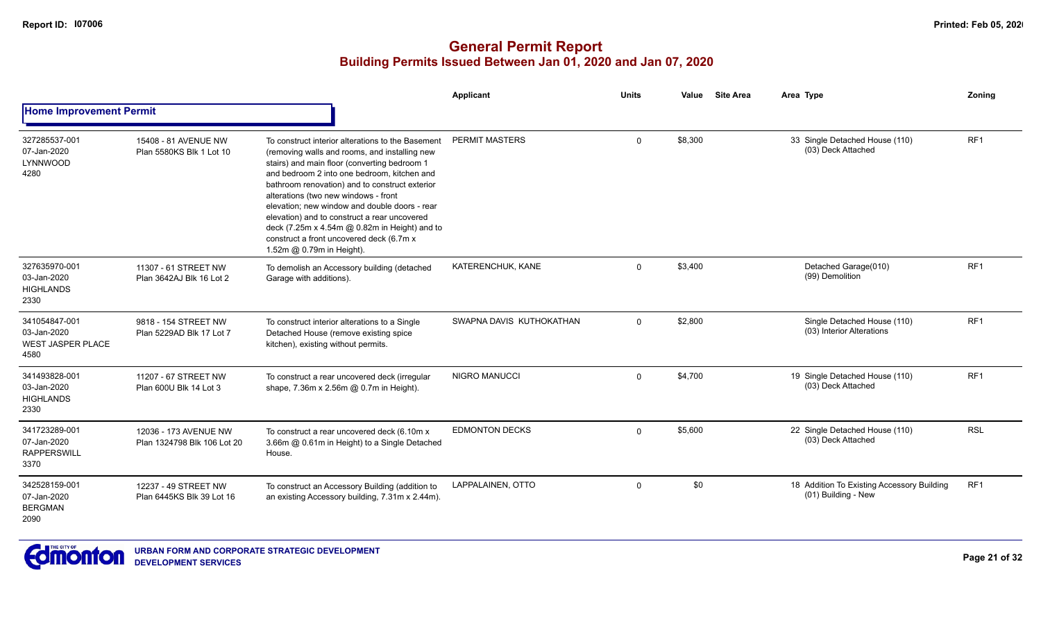|                                                                  |                                                      |                                                                                                                                                                                                                                                                                                                                                                                                                                                                                                                        | Applicant                | <b>Units</b> | Value   | <b>Site Area</b> | Area Type                                                         | Zoning          |
|------------------------------------------------------------------|------------------------------------------------------|------------------------------------------------------------------------------------------------------------------------------------------------------------------------------------------------------------------------------------------------------------------------------------------------------------------------------------------------------------------------------------------------------------------------------------------------------------------------------------------------------------------------|--------------------------|--------------|---------|------------------|-------------------------------------------------------------------|-----------------|
| <b>Home Improvement Permit</b>                                   |                                                      |                                                                                                                                                                                                                                                                                                                                                                                                                                                                                                                        |                          |              |         |                  |                                                                   |                 |
| 327285537-001<br>07-Jan-2020<br>LYNNWOOD<br>4280                 | 15408 - 81 AVENUE NW<br>Plan 5580KS Blk 1 Lot 10     | To construct interior alterations to the Basement<br>(removing walls and rooms, and installing new<br>stairs) and main floor (converting bedroom 1<br>and bedroom 2 into one bedroom, kitchen and<br>bathroom renovation) and to construct exterior<br>alterations (two new windows - front<br>elevation: new window and double doors - rear<br>elevation) and to construct a rear uncovered<br>deck (7.25m x 4.54m @ 0.82m in Height) and to<br>construct a front uncovered deck (6.7m x<br>1.52m @ 0.79m in Height). | <b>PERMIT MASTERS</b>    | $\Omega$     | \$8,300 |                  | 33 Single Detached House (110)<br>(03) Deck Attached              | RF <sub>1</sub> |
| 327635970-001<br>03-Jan-2020<br><b>HIGHLANDS</b><br>2330         | 11307 - 61 STREET NW<br>Plan 3642AJ Blk 16 Lot 2     | To demolish an Accessory building (detached<br>Garage with additions).                                                                                                                                                                                                                                                                                                                                                                                                                                                 | KATERENCHUK, KANE        | $\Omega$     | \$3,400 |                  | Detached Garage(010)<br>(99) Demolition                           | RF <sub>1</sub> |
| 341054847-001<br>03-Jan-2020<br><b>WEST JASPER PLACE</b><br>4580 | 9818 - 154 STREET NW<br>Plan 5229AD Blk 17 Lot 7     | To construct interior alterations to a Single<br>Detached House (remove existing spice<br>kitchen), existing without permits.                                                                                                                                                                                                                                                                                                                                                                                          | SWAPNA DAVIS KUTHOKATHAN | $\Omega$     | \$2,800 |                  | Single Detached House (110)<br>(03) Interior Alterations          | RF <sub>1</sub> |
| 341493828-001<br>03-Jan-2020<br><b>HIGHLANDS</b><br>2330         | 11207 - 67 STREET NW<br>Plan 600U Blk 14 Lot 3       | To construct a rear uncovered deck (irregular<br>shape, 7.36m x 2.56m @ 0.7m in Height).                                                                                                                                                                                                                                                                                                                                                                                                                               | <b>NIGRO MANUCCI</b>     | $\Omega$     | \$4,700 |                  | 19 Single Detached House (110)<br>(03) Deck Attached              | RF <sub>1</sub> |
| 341723289-001<br>07-Jan-2020<br><b>RAPPERSWILL</b><br>3370       | 12036 - 173 AVENUE NW<br>Plan 1324798 Blk 106 Lot 20 | To construct a rear uncovered deck (6.10m x<br>3.66m @ 0.61m in Height) to a Single Detached<br>House.                                                                                                                                                                                                                                                                                                                                                                                                                 | <b>EDMONTON DECKS</b>    | $\Omega$     | \$5,600 |                  | 22 Single Detached House (110)<br>(03) Deck Attached              | <b>RSL</b>      |
| 342528159-001<br>07-Jan-2020<br><b>BERGMAN</b><br>2090           | 12237 - 49 STREET NW<br>Plan 6445KS Blk 39 Lot 16    | To construct an Accessory Building (addition to<br>an existing Accessory building, 7.31m x 2.44m).                                                                                                                                                                                                                                                                                                                                                                                                                     | LAPPALAINEN, OTTO        | $\Omega$     | \$0     |                  | 18 Addition To Existing Accessory Building<br>(01) Building - New | RF <sub>1</sub> |

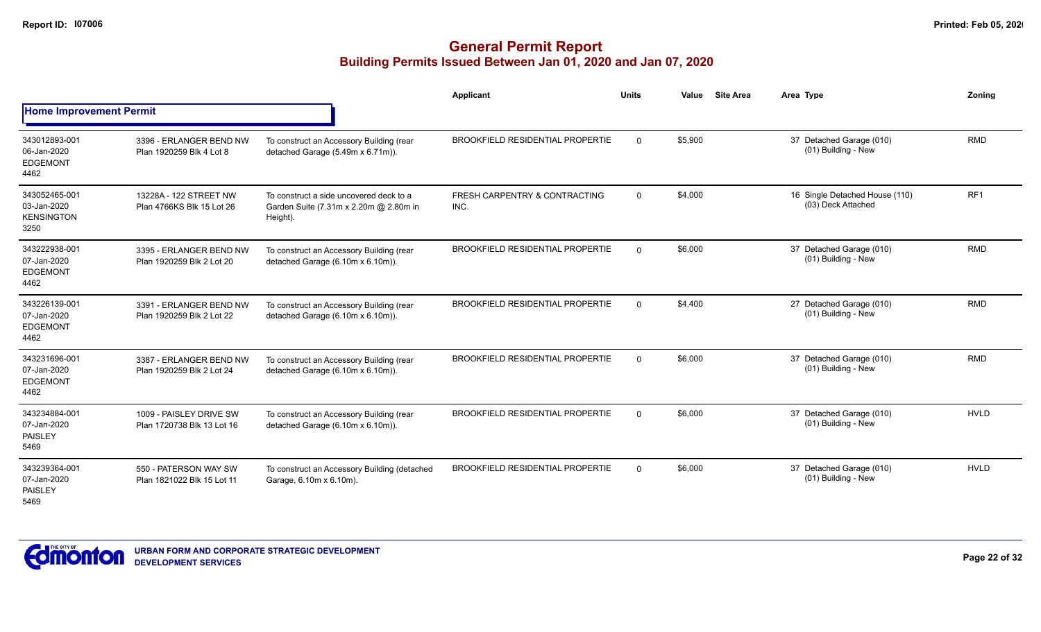|                                                           |                                                       |                                                                                               | Applicant                               | <b>Units</b> | Value   | <b>Site Area</b> | Area Type                                            | Zoning          |
|-----------------------------------------------------------|-------------------------------------------------------|-----------------------------------------------------------------------------------------------|-----------------------------------------|--------------|---------|------------------|------------------------------------------------------|-----------------|
| <b>Home Improvement Permit</b>                            |                                                       |                                                                                               |                                         |              |         |                  |                                                      |                 |
| 343012893-001<br>06-Jan-2020<br><b>EDGEMONT</b><br>4462   | 3396 - ERLANGER BEND NW<br>Plan 1920259 Blk 4 Lot 8   | To construct an Accessory Building (rear<br>detached Garage (5.49m x 6.71m)).                 | <b>BROOKFIELD RESIDENTIAL PROPERTIE</b> | $\Omega$     | \$5,900 |                  | 37 Detached Garage (010)<br>(01) Building - New      | <b>RMD</b>      |
| 343052465-001<br>03-Jan-2020<br><b>KENSINGTON</b><br>3250 | 13228A - 122 STREET NW<br>Plan 4766KS Blk 15 Lot 26   | To construct a side uncovered deck to a<br>Garden Suite (7.31m x 2.20m @ 2.80m in<br>Height). | FRESH CARPENTRY & CONTRACTING<br>INC.   | $\mathbf 0$  | \$4,000 |                  | 16 Single Detached House (110)<br>(03) Deck Attached | RF <sub>1</sub> |
| 343222938-001<br>07-Jan-2020<br><b>EDGEMONT</b><br>4462   | 3395 - ERLANGER BEND NW<br>Plan 1920259 Blk 2 Lot 20  | To construct an Accessory Building (rear<br>detached Garage (6.10m x 6.10m)).                 | <b>BROOKFIELD RESIDENTIAL PROPERTIE</b> | $\Omega$     | \$6,000 |                  | 37 Detached Garage (010)<br>(01) Building - New      | <b>RMD</b>      |
| 343226139-001<br>07-Jan-2020<br><b>EDGEMONT</b><br>4462   | 3391 - ERLANGER BEND NW<br>Plan 1920259 Blk 2 Lot 22  | To construct an Accessory Building (rear<br>detached Garage (6.10m x 6.10m)).                 | <b>BROOKFIELD RESIDENTIAL PROPERTIE</b> | $\Omega$     | \$4,400 |                  | 27 Detached Garage (010)<br>(01) Building - New      | <b>RMD</b>      |
| 343231696-001<br>07-Jan-2020<br><b>EDGEMONT</b><br>4462   | 3387 - ERLANGER BEND NW<br>Plan 1920259 Blk 2 Lot 24  | To construct an Accessory Building (rear<br>detached Garage (6.10m x 6.10m)).                 | <b>BROOKFIELD RESIDENTIAL PROPERTIE</b> | $\Omega$     | \$6,000 |                  | 37 Detached Garage (010)<br>(01) Building - New      | <b>RMD</b>      |
| 343234884-001<br>07-Jan-2020<br>PAISLEY<br>5469           | 1009 - PAISLEY DRIVE SW<br>Plan 1720738 Blk 13 Lot 16 | To construct an Accessory Building (rear<br>detached Garage (6.10m x 6.10m)).                 | <b>BROOKFIELD RESIDENTIAL PROPERTIE</b> | $\Omega$     | \$6,000 |                  | 37 Detached Garage (010)<br>(01) Building - New      | <b>HVLD</b>     |
| 343239364-001<br>07-Jan-2020<br>PAISLEY<br>5469           | 550 - PATERSON WAY SW<br>Plan 1821022 Blk 15 Lot 11   | To construct an Accessory Building (detached<br>Garage, 6.10m x 6.10m).                       | <b>BROOKFIELD RESIDENTIAL PROPERTIE</b> | $\Omega$     | \$6,000 |                  | 37 Detached Garage (010)<br>(01) Building - New      | <b>HVLD</b>     |

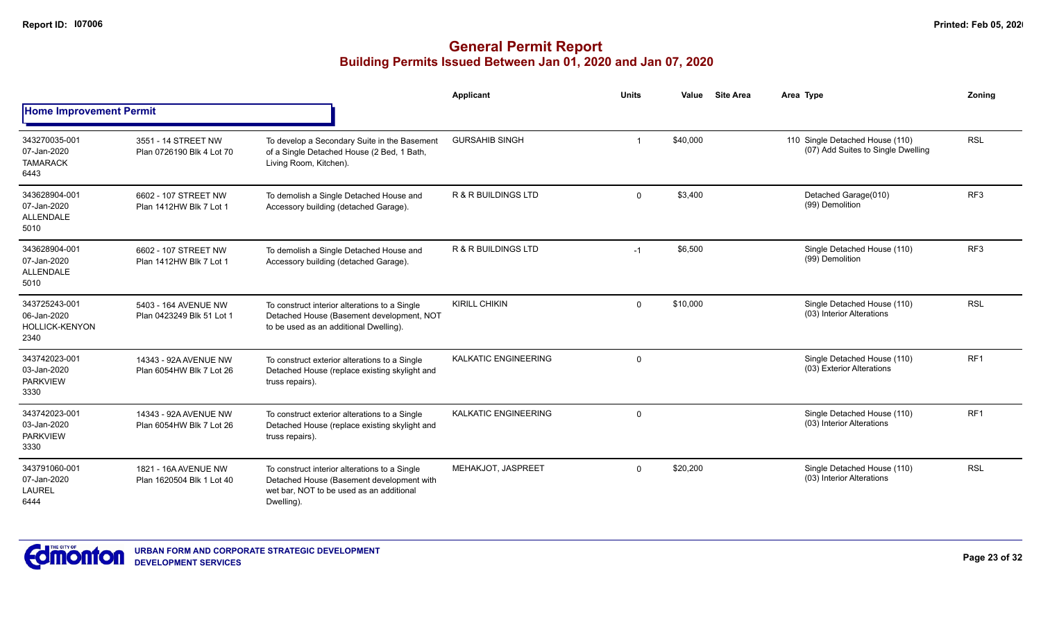|                                                               |                                                   |                                                                                                                                                      | Applicant                      | <b>Units</b> | Value    | <b>Site Area</b> | Area Type                                                             | Zonina          |
|---------------------------------------------------------------|---------------------------------------------------|------------------------------------------------------------------------------------------------------------------------------------------------------|--------------------------------|--------------|----------|------------------|-----------------------------------------------------------------------|-----------------|
| <b>Home Improvement Permit</b>                                |                                                   |                                                                                                                                                      |                                |              |          |                  |                                                                       |                 |
| 343270035-001<br>07-Jan-2020<br><b>TAMARACK</b><br>6443       | 3551 - 14 STREET NW<br>Plan 0726190 Blk 4 Lot 70  | To develop a Secondary Suite in the Basement<br>of a Single Detached House (2 Bed, 1 Bath,<br>Living Room, Kitchen).                                 | <b>GURSAHIB SINGH</b>          | -1           | \$40,000 |                  | 110 Single Detached House (110)<br>(07) Add Suites to Single Dwelling | <b>RSL</b>      |
| 343628904-001<br>07-Jan-2020<br><b>ALLENDALE</b><br>5010      | 6602 - 107 STREET NW<br>Plan 1412HW Blk 7 Lot 1   | To demolish a Single Detached House and<br>Accessory building (detached Garage).                                                                     | <b>R &amp; R BUILDINGS LTD</b> | $\mathbf 0$  | \$3,400  |                  | Detached Garage(010)<br>(99) Demolition                               | RF <sub>3</sub> |
| 343628904-001<br>07-Jan-2020<br><b>ALLENDALE</b><br>5010      | 6602 - 107 STREET NW<br>Plan 1412HW Blk 7 Lot 1   | To demolish a Single Detached House and<br>Accessory building (detached Garage).                                                                     | R & R BUILDINGS LTD            | $-1$         | \$6,500  |                  | Single Detached House (110)<br>(99) Demolition                        | RF <sub>3</sub> |
| 343725243-001<br>06-Jan-2020<br><b>HOLLICK-KENYON</b><br>2340 | 5403 - 164 AVENUE NW<br>Plan 0423249 Blk 51 Lot 1 | To construct interior alterations to a Single<br>Detached House (Basement development, NOT<br>to be used as an additional Dwelling).                 | <b>KIRILL CHIKIN</b>           | $\mathbf 0$  | \$10,000 |                  | Single Detached House (110)<br>(03) Interior Alterations              | <b>RSL</b>      |
| 343742023-001<br>03-Jan-2020<br><b>PARKVIEW</b><br>3330       | 14343 - 92A AVENUE NW<br>Plan 6054HW Blk 7 Lot 26 | To construct exterior alterations to a Single<br>Detached House (replace existing skylight and<br>truss repairs).                                    | KALKATIC ENGINEERING           | $\mathbf 0$  |          |                  | Single Detached House (110)<br>(03) Exterior Alterations              | RF <sub>1</sub> |
| 343742023-001<br>03-Jan-2020<br><b>PARKVIEW</b><br>3330       | 14343 - 92A AVENUE NW<br>Plan 6054HW Blk 7 Lot 26 | To construct exterior alterations to a Single<br>Detached House (replace existing skylight and<br>truss repairs).                                    | <b>KALKATIC ENGINEERING</b>    | $\mathbf 0$  |          |                  | Single Detached House (110)<br>(03) Interior Alterations              | RF <sub>1</sub> |
| 343791060-001<br>07-Jan-2020<br><b>LAUREL</b><br>6444         | 1821 - 16A AVENUE NW<br>Plan 1620504 Blk 1 Lot 40 | To construct interior alterations to a Single<br>Detached House (Basement development with<br>wet bar. NOT to be used as an additional<br>Dwelling). | MEHAKJOT, JASPREET             | $\mathbf 0$  | \$20,200 |                  | Single Detached House (110)<br>(03) Interior Alterations              | <b>RSL</b>      |

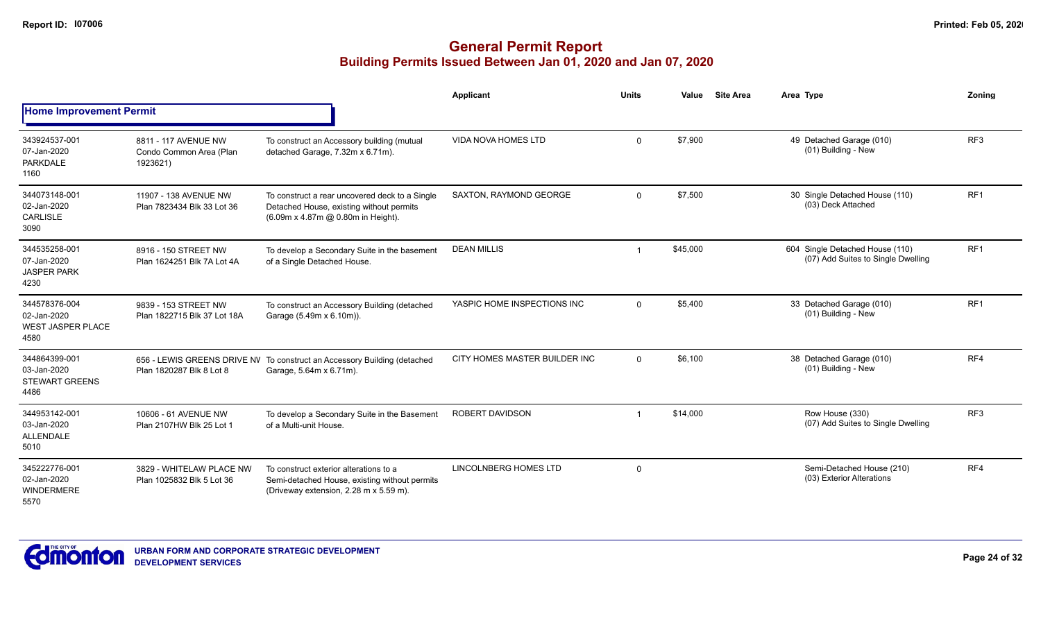|                                                                  |                                                             |                                                                                                                                   | Applicant                     | <b>Units</b> | Value    | <b>Site Area</b> | Area Type                                                             | Zonina          |
|------------------------------------------------------------------|-------------------------------------------------------------|-----------------------------------------------------------------------------------------------------------------------------------|-------------------------------|--------------|----------|------------------|-----------------------------------------------------------------------|-----------------|
| <b>Home Improvement Permit</b>                                   |                                                             |                                                                                                                                   |                               |              |          |                  |                                                                       |                 |
| 343924537-001<br>07-Jan-2020<br><b>PARKDALE</b><br>1160          | 8811 - 117 AVENUE NW<br>Condo Common Area (Plan<br>1923621) | To construct an Accessory building (mutual<br>detached Garage, 7.32m x 6.71m).                                                    | <b>VIDA NOVA HOMES LTD</b>    | $\mathbf 0$  | \$7,900  |                  | 49 Detached Garage (010)<br>(01) Building - New                       | RF <sub>3</sub> |
| 344073148-001<br>02-Jan-2020<br><b>CARLISLE</b><br>3090          | 11907 - 138 AVENUE NW<br>Plan 7823434 Blk 33 Lot 36         | To construct a rear uncovered deck to a Single<br>Detached House, existing without permits<br>(6.09m x 4.87m @ 0.80m in Height).  | SAXTON, RAYMOND GEORGE        | $\mathbf{0}$ | \$7,500  |                  | 30 Single Detached House (110)<br>(03) Deck Attached                  | RF <sub>1</sub> |
| 344535258-001<br>07-Jan-2020<br><b>JASPER PARK</b><br>4230       | 8916 - 150 STREET NW<br>Plan 1624251 Blk 7A Lot 4A          | To develop a Secondary Suite in the basement<br>of a Single Detached House.                                                       | <b>DEAN MILLIS</b>            | -1           | \$45,000 |                  | 604 Single Detached House (110)<br>(07) Add Suites to Single Dwelling | RF <sub>1</sub> |
| 344578376-004<br>02-Jan-2020<br><b>WEST JASPER PLACE</b><br>4580 | 9839 - 153 STREET NW<br>Plan 1822715 Blk 37 Lot 18A         | To construct an Accessory Building (detached<br>Garage (5.49m x 6.10m)).                                                          | YASPIC HOME INSPECTIONS INC   | $\mathbf 0$  | \$5,400  |                  | 33 Detached Garage (010)<br>(01) Building - New                       | RF <sub>1</sub> |
| 344864399-001<br>03-Jan-2020<br><b>STEWART GREENS</b><br>4486    | Plan 1820287 Blk 8 Lot 8                                    | 656 - LEWIS GREENS DRIVE NV To construct an Accessory Building (detached<br>Garage, 5.64m x 6.71m).                               | CITY HOMES MASTER BUILDER INC | $\mathbf{0}$ | \$6,100  |                  | 38 Detached Garage (010)<br>(01) Building - New                       | RF4             |
| 344953142-001<br>03-Jan-2020<br><b>ALLENDALE</b><br>5010         | 10606 - 61 AVENUE NW<br>Plan 2107HW Blk 25 Lot 1            | To develop a Secondary Suite in the Basement<br>of a Multi-unit House.                                                            | <b>ROBERT DAVIDSON</b>        | -1           | \$14,000 |                  | Row House (330)<br>(07) Add Suites to Single Dwelling                 | RF <sub>3</sub> |
| 345222776-001<br>02-Jan-2020<br>WINDERMERE<br>5570               | 3829 - WHITELAW PLACE NW<br>Plan 1025832 Blk 5 Lot 36       | To construct exterior alterations to a<br>Semi-detached House, existing without permits<br>(Driveway extension, 2.28 m x 5.59 m). | <b>LINCOLNBERG HOMES LTD</b>  | 0            |          |                  | Semi-Detached House (210)<br>(03) Exterior Alterations                | RF4             |

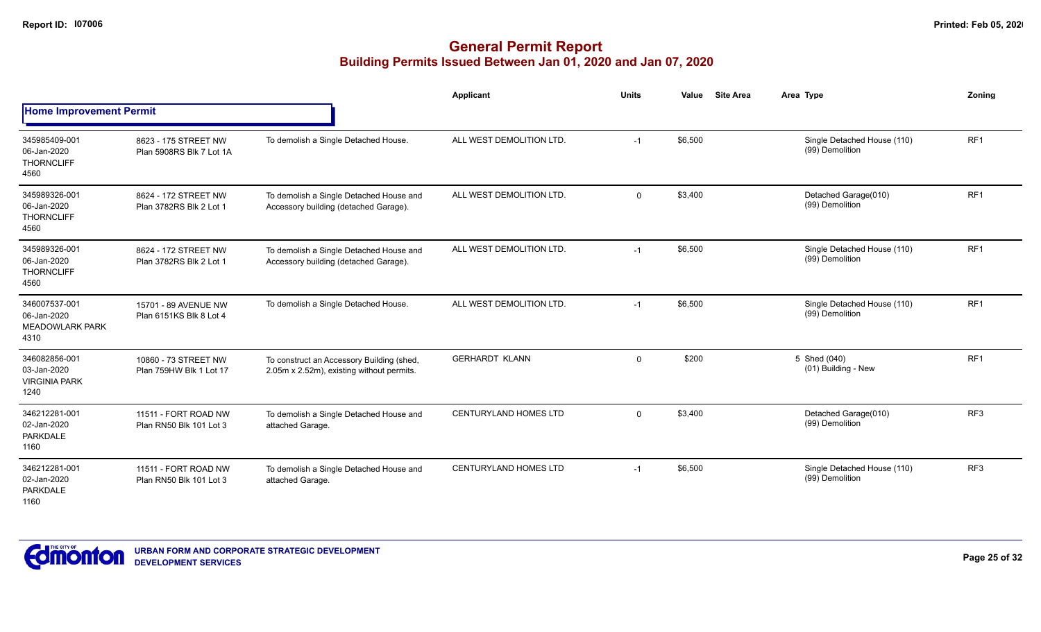|                                                                |                                                  |                                                                                        | <b>Applicant</b>             | <b>Units</b> | <b>Site Area</b><br>Value | Area Type                                      | Zoning          |
|----------------------------------------------------------------|--------------------------------------------------|----------------------------------------------------------------------------------------|------------------------------|--------------|---------------------------|------------------------------------------------|-----------------|
| <b>Home Improvement Permit</b>                                 |                                                  |                                                                                        |                              |              |                           |                                                |                 |
| 345985409-001<br>06-Jan-2020<br><b>THORNCLIFF</b><br>4560      | 8623 - 175 STREET NW<br>Plan 5908RS Blk 7 Lot 1A | To demolish a Single Detached House.                                                   | ALL WEST DEMOLITION LTD.     | $-1$         | \$6,500                   | Single Detached House (110)<br>(99) Demolition | RF <sub>1</sub> |
| 345989326-001<br>06-Jan-2020<br><b>THORNCLIFF</b><br>4560      | 8624 - 172 STREET NW<br>Plan 3782RS Blk 2 Lot 1  | To demolish a Single Detached House and<br>Accessory building (detached Garage).       | ALL WEST DEMOLITION LTD.     | $\mathbf 0$  | \$3,400                   | Detached Garage(010)<br>(99) Demolition        | RF <sub>1</sub> |
| 345989326-001<br>06-Jan-2020<br><b>THORNCLIFF</b><br>4560      | 8624 - 172 STREET NW<br>Plan 3782RS Blk 2 Lot 1  | To demolish a Single Detached House and<br>Accessory building (detached Garage).       | ALL WEST DEMOLITION LTD.     | $-1$         | \$6,500                   | Single Detached House (110)<br>(99) Demolition | RF <sub>1</sub> |
| 346007537-001<br>06-Jan-2020<br><b>MEADOWLARK PARK</b><br>4310 | 15701 - 89 AVENUE NW<br>Plan 6151KS Blk 8 Lot 4  | To demolish a Single Detached House.                                                   | ALL WEST DEMOLITION LTD.     | $-1$         | \$6,500                   | Single Detached House (110)<br>(99) Demolition | RF <sub>1</sub> |
| 346082856-001<br>03-Jan-2020<br><b>VIRGINIA PARK</b><br>1240   | 10860 - 73 STREET NW<br>Plan 759HW Blk 1 Lot 17  | To construct an Accessory Building (shed,<br>2.05m x 2.52m), existing without permits. | <b>GERHARDT KLANN</b>        | $\mathbf 0$  | \$200                     | 5 Shed (040)<br>(01) Building - New            | RF <sub>1</sub> |
| 346212281-001<br>02-Jan-2020<br><b>PARKDALE</b><br>1160        | 11511 - FORT ROAD NW<br>Plan RN50 Blk 101 Lot 3  | To demolish a Single Detached House and<br>attached Garage.                            | <b>CENTURYLAND HOMES LTD</b> | $\mathbf 0$  | \$3,400                   | Detached Garage(010)<br>(99) Demolition        | RF <sub>3</sub> |
| 346212281-001<br>02-Jan-2020<br>PARKDALE<br>1160               | 11511 - FORT ROAD NW<br>Plan RN50 Blk 101 Lot 3  | To demolish a Single Detached House and<br>attached Garage.                            | <b>CENTURYLAND HOMES LTD</b> | $-1$         | \$6,500                   | Single Detached House (110)<br>(99) Demolition | RF <sub>3</sub> |

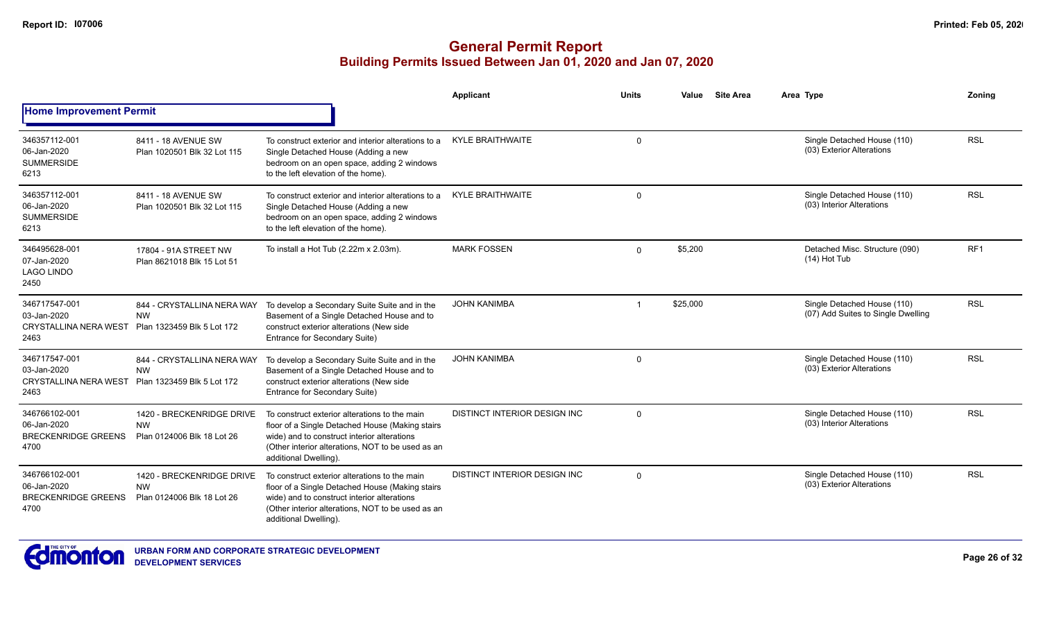|                                                                      |                                                                       |                                                                                                                                                                                                                               | Applicant                           | <b>Units</b>   | Value    | <b>Site Area</b> | Area Type                                                         | Zoning          |
|----------------------------------------------------------------------|-----------------------------------------------------------------------|-------------------------------------------------------------------------------------------------------------------------------------------------------------------------------------------------------------------------------|-------------------------------------|----------------|----------|------------------|-------------------------------------------------------------------|-----------------|
| <b>Home Improvement Permit</b>                                       |                                                                       |                                                                                                                                                                                                                               |                                     |                |          |                  |                                                                   |                 |
| 346357112-001<br>06-Jan-2020<br><b>SUMMERSIDE</b><br>6213            | 8411 - 18 AVENUE SW<br>Plan 1020501 Blk 32 Lot 115                    | To construct exterior and interior alterations to a<br>Single Detached House (Adding a new<br>bedroom on an open space, adding 2 windows<br>to the left elevation of the home).                                               | <b>KYLE BRAITHWAITE</b>             | $\Omega$       |          |                  | Single Detached House (110)<br>(03) Exterior Alterations          | <b>RSL</b>      |
| 346357112-001<br>06-Jan-2020<br><b>SUMMERSIDE</b><br>6213            | 8411 - 18 AVENUE SW<br>Plan 1020501 Blk 32 Lot 115                    | To construct exterior and interior alterations to a<br>Single Detached House (Adding a new<br>bedroom on an open space, adding 2 windows<br>to the left elevation of the home).                                               | <b>KYLE BRAITHWAITE</b>             | $\Omega$       |          |                  | Single Detached House (110)<br>(03) Interior Alterations          | <b>RSL</b>      |
| 346495628-001<br>07-Jan-2020<br><b>LAGO LINDO</b><br>2450            | 17804 - 91A STREET NW<br>Plan 8621018 Blk 15 Lot 51                   | To install a Hot Tub (2.22m x 2.03m).                                                                                                                                                                                         | <b>MARK FOSSEN</b>                  | $\Omega$       | \$5,200  |                  | Detached Misc. Structure (090)<br>$(14)$ Hot Tub                  | RF <sub>1</sub> |
| 346717547-001<br>03-Jan-2020<br><b>CRYSTALLINA NERA WEST</b><br>2463 | 844 - CRYSTALLINA NERA WAY<br><b>NW</b><br>Plan 1323459 Blk 5 Lot 172 | To develop a Secondary Suite Suite and in the<br>Basement of a Single Detached House and to<br>construct exterior alterations (New side<br>Entrance for Secondary Suite)                                                      | <b>JOHN KANIMBA</b>                 | $\overline{1}$ | \$25,000 |                  | Single Detached House (110)<br>(07) Add Suites to Single Dwelling | <b>RSL</b>      |
| 346717547-001<br>03-Jan-2020<br><b>CRYSTALLINA NERA WEST</b><br>2463 | 844 - CRYSTALLINA NERA WAY<br><b>NW</b><br>Plan 1323459 Blk 5 Lot 172 | To develop a Secondary Suite Suite and in the<br>Basement of a Single Detached House and to<br>construct exterior alterations (New side<br>Entrance for Secondary Suite)                                                      | <b>JOHN KANIMBA</b>                 | $\Omega$       |          |                  | Single Detached House (110)<br>(03) Exterior Alterations          | <b>RSL</b>      |
| 346766102-001<br>06-Jan-2020<br><b>BRECKENRIDGE GREENS</b><br>4700   | 1420 - BRECKENRIDGE DRIVE<br><b>NW</b><br>Plan 0124006 Blk 18 Lot 26  | To construct exterior alterations to the main<br>floor of a Single Detached House (Making stairs<br>wide) and to construct interior alterations<br>(Other interior alterations, NOT to be used as an<br>additional Dwelling). | <b>DISTINCT INTERIOR DESIGN INC</b> | $\Omega$       |          |                  | Single Detached House (110)<br>(03) Interior Alterations          | <b>RSL</b>      |
| 346766102-001<br>06-Jan-2020<br>BRECKENRIDGE GREENS<br>4700          | 1420 - BRECKENRIDGE DRIVE<br><b>NW</b><br>Plan 0124006 Blk 18 Lot 26  | To construct exterior alterations to the main<br>floor of a Single Detached House (Making stairs<br>wide) and to construct interior alterations<br>(Other interior alterations, NOT to be used as an<br>additional Dwelling). | <b>DISTINCT INTERIOR DESIGN INC</b> | $\Omega$       |          |                  | Single Detached House (110)<br>(03) Exterior Alterations          | <b>RSL</b>      |

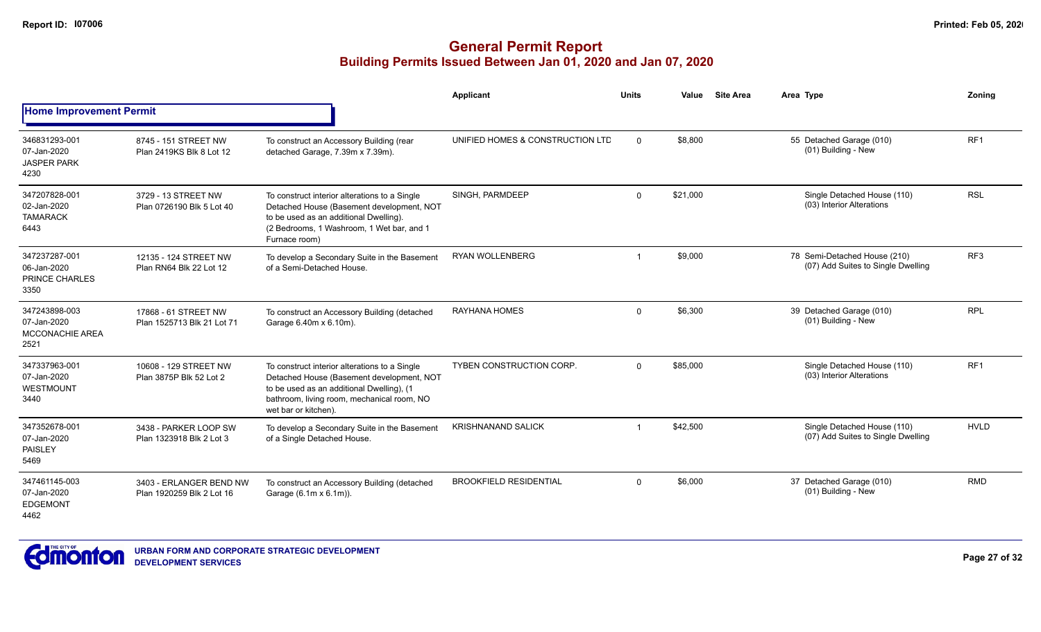|                                                                |                                                      |                                                                                                                                                                                                               | <b>Applicant</b>                 | <b>Units</b> | Value    | <b>Site Area</b> | Area Type                                                          | Zoning          |
|----------------------------------------------------------------|------------------------------------------------------|---------------------------------------------------------------------------------------------------------------------------------------------------------------------------------------------------------------|----------------------------------|--------------|----------|------------------|--------------------------------------------------------------------|-----------------|
| <b>Home Improvement Permit</b>                                 |                                                      |                                                                                                                                                                                                               |                                  |              |          |                  |                                                                    |                 |
| 346831293-001<br>07-Jan-2020<br><b>JASPER PARK</b><br>4230     | 8745 - 151 STREET NW<br>Plan 2419KS Blk 8 Lot 12     | To construct an Accessory Building (rear<br>detached Garage, 7.39m x 7.39m).                                                                                                                                  | UNIFIED HOMES & CONSTRUCTION LTD | $\Omega$     | \$8,800  |                  | 55 Detached Garage (010)<br>(01) Building - New                    | RF <sub>1</sub> |
| 347207828-001<br>02-Jan-2020<br><b>TAMARACK</b><br>6443        | 3729 - 13 STREET NW<br>Plan 0726190 Blk 5 Lot 40     | To construct interior alterations to a Single<br>Detached House (Basement development, NOT<br>to be used as an additional Dwelling).<br>(2 Bedrooms, 1 Washroom, 1 Wet bar, and 1<br>Furnace room)            | SINGH, PARMDEEP                  | $\mathbf{0}$ | \$21,000 |                  | Single Detached House (110)<br>(03) Interior Alterations           | <b>RSL</b>      |
| 347237287-001<br>06-Jan-2020<br>PRINCE CHARLES<br>3350         | 12135 - 124 STREET NW<br>Plan RN64 Blk 22 Lot 12     | To develop a Secondary Suite in the Basement<br>of a Semi-Detached House.                                                                                                                                     | <b>RYAN WOLLENBERG</b>           | -1           | \$9,000  |                  | 78 Semi-Detached House (210)<br>(07) Add Suites to Single Dwelling | RF <sub>3</sub> |
| 347243898-003<br>07-Jan-2020<br><b>MCCONACHIE AREA</b><br>2521 | 17868 - 61 STREET NW<br>Plan 1525713 Blk 21 Lot 71   | To construct an Accessory Building (detached<br>Garage 6.40m x 6.10m).                                                                                                                                        | RAYHANA HOMES                    | $\mathbf 0$  | \$6,300  |                  | 39 Detached Garage (010)<br>(01) Building - New                    | <b>RPL</b>      |
| 347337963-001<br>07-Jan-2020<br><b>WESTMOUNT</b><br>3440       | 10608 - 129 STREET NW<br>Plan 3875P Blk 52 Lot 2     | To construct interior alterations to a Single<br>Detached House (Basement development, NOT<br>to be used as an additional Dwelling), (1<br>bathroom, living room, mechanical room, NO<br>wet bar or kitchen). | <b>TYBEN CONSTRUCTION CORP.</b>  | $\Omega$     | \$85,000 |                  | Single Detached House (110)<br>(03) Interior Alterations           | RF <sub>1</sub> |
| 347352678-001<br>07-Jan-2020<br>PAISLEY<br>5469                | 3438 - PARKER LOOP SW<br>Plan 1323918 Blk 2 Lot 3    | To develop a Secondary Suite in the Basement<br>of a Single Detached House.                                                                                                                                   | <b>KRISHNANAND SALICK</b>        | -1           | \$42,500 |                  | Single Detached House (110)<br>(07) Add Suites to Single Dwelling  | <b>HVLD</b>     |
| 347461145-003<br>07-Jan-2020<br><b>EDGEMONT</b><br>4462        | 3403 - ERLANGER BEND NW<br>Plan 1920259 Blk 2 Lot 16 | To construct an Accessory Building (detached<br>Garage (6.1m x 6.1m)).                                                                                                                                        | <b>BROOKFIELD RESIDENTIAL</b>    | $\Omega$     | \$6,000  |                  | 37 Detached Garage (010)<br>(01) Building - New                    | <b>RMD</b>      |

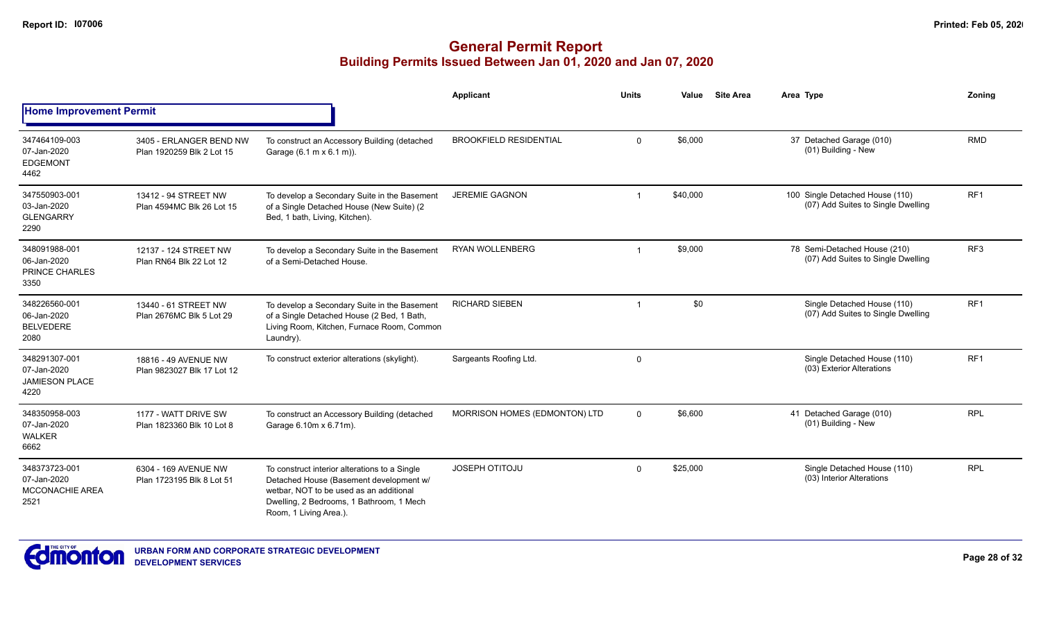|                                                                |                                                      |                                                                                                                                                                                                           | Applicant                     | <b>Units</b>            | Value    | <b>Site Area</b> | Area Type                                                             | Zoning          |
|----------------------------------------------------------------|------------------------------------------------------|-----------------------------------------------------------------------------------------------------------------------------------------------------------------------------------------------------------|-------------------------------|-------------------------|----------|------------------|-----------------------------------------------------------------------|-----------------|
| <b>Home Improvement Permit</b>                                 |                                                      |                                                                                                                                                                                                           |                               |                         |          |                  |                                                                       |                 |
| 347464109-003<br>07-Jan-2020<br><b>EDGEMONT</b><br>4462        | 3405 - ERLANGER BEND NW<br>Plan 1920259 Blk 2 Lot 15 | To construct an Accessory Building (detached<br>Garage (6.1 m x 6.1 m)).                                                                                                                                  | <b>BROOKFIELD RESIDENTIAL</b> | $\Omega$                | \$6,000  |                  | 37 Detached Garage (010)<br>(01) Building - New                       | <b>RMD</b>      |
| 347550903-001<br>03-Jan-2020<br><b>GLENGARRY</b><br>2290       | 13412 - 94 STREET NW<br>Plan 4594MC Blk 26 Lot 15    | To develop a Secondary Suite in the Basement<br>of a Single Detached House (New Suite) (2<br>Bed, 1 bath, Living, Kitchen).                                                                               | <b>JEREMIE GAGNON</b>         |                         | \$40,000 |                  | 100 Single Detached House (110)<br>(07) Add Suites to Single Dwelling | RF <sub>1</sub> |
| 348091988-001<br>06-Jan-2020<br>PRINCE CHARLES<br>3350         | 12137 - 124 STREET NW<br>Plan RN64 Blk 22 Lot 12     | To develop a Secondary Suite in the Basement<br>of a Semi-Detached House.                                                                                                                                 | <b>RYAN WOLLENBERG</b>        | $\overline{\mathbf{1}}$ | \$9,000  |                  | 78 Semi-Detached House (210)<br>(07) Add Suites to Single Dwelling    | RF3             |
| 348226560-001<br>06-Jan-2020<br><b>BELVEDERE</b><br>2080       | 13440 - 61 STREET NW<br>Plan 2676MC Blk 5 Lot 29     | To develop a Secondary Suite in the Basement<br>of a Single Detached House (2 Bed, 1 Bath,<br>Living Room, Kitchen, Furnace Room, Common<br>Laundry).                                                     | <b>RICHARD SIEBEN</b>         |                         | \$0      |                  | Single Detached House (110)<br>(07) Add Suites to Single Dwelling     | RF <sub>1</sub> |
| 348291307-001<br>07-Jan-2020<br><b>JAMIESON PLACE</b><br>4220  | 18816 - 49 AVENUE NW<br>Plan 9823027 Blk 17 Lot 12   | To construct exterior alterations (skylight).                                                                                                                                                             | Sargeants Roofing Ltd.        | $\mathbf 0$             |          |                  | Single Detached House (110)<br>(03) Exterior Alterations              | RF <sub>1</sub> |
| 348350958-003<br>07-Jan-2020<br><b>WALKER</b><br>6662          | 1177 - WATT DRIVE SW<br>Plan 1823360 Blk 10 Lot 8    | To construct an Accessory Building (detached<br>Garage 6.10m x 6.71m).                                                                                                                                    | MORRISON HOMES (EDMONTON) LTD | $\Omega$                | \$6,600  |                  | 41 Detached Garage (010)<br>(01) Building - New                       | <b>RPL</b>      |
| 348373723-001<br>07-Jan-2020<br><b>MCCONACHIE AREA</b><br>2521 | 6304 - 169 AVENUE NW<br>Plan 1723195 Blk 8 Lot 51    | To construct interior alterations to a Single<br>Detached House (Basement development w/<br>wetbar. NOT to be used as an additional<br>Dwelling, 2 Bedrooms, 1 Bathroom, 1 Mech<br>Room, 1 Living Area.). | <b>JOSEPH OTITOJU</b>         | $\mathbf 0$             | \$25,000 |                  | Single Detached House (110)<br>(03) Interior Alterations              | <b>RPL</b>      |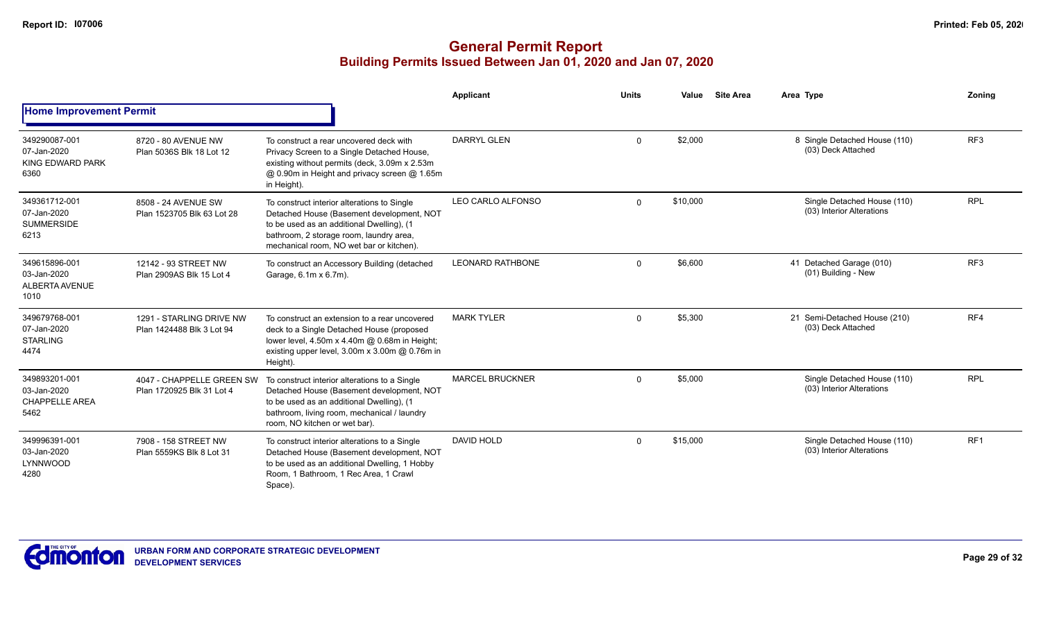|                                                               |                                                        |                                                                                                                                                                                                                              | Applicant               | <b>Units</b> | Value    | <b>Site Area</b> | Area Type                                                | Zoning          |
|---------------------------------------------------------------|--------------------------------------------------------|------------------------------------------------------------------------------------------------------------------------------------------------------------------------------------------------------------------------------|-------------------------|--------------|----------|------------------|----------------------------------------------------------|-----------------|
| <b>Home Improvement Permit</b>                                |                                                        |                                                                                                                                                                                                                              |                         |              |          |                  |                                                          |                 |
| 349290087-001<br>07-Jan-2020<br>KING EDWARD PARK<br>6360      | 8720 - 80 AVENUE NW<br>Plan 5036S Blk 18 Lot 12        | To construct a rear uncovered deck with<br>Privacy Screen to a Single Detached House,<br>existing without permits (deck, 3.09m x 2.53m<br>@ 0.90m in Height and privacy screen @ 1.65m<br>in Height).                        | DARRYL GLEN             | $\Omega$     | \$2,000  |                  | 8 Single Detached House (110)<br>(03) Deck Attached      | RF <sub>3</sub> |
| 349361712-001<br>07-Jan-2020<br><b>SUMMERSIDE</b><br>6213     | 8508 - 24 AVENUE SW<br>Plan 1523705 Blk 63 Lot 28      | To construct interior alterations to Single<br>Detached House (Basement development, NOT<br>to be used as an additional Dwelling), (1<br>bathroom, 2 storage room, laundry area,<br>mechanical room, NO wet bar or kitchen). | LEO CARLO ALFONSO       | $\Omega$     | \$10,000 |                  | Single Detached House (110)<br>(03) Interior Alterations | <b>RPL</b>      |
| 349615896-001<br>03-Jan-2020<br><b>ALBERTA AVENUE</b><br>1010 | 12142 - 93 STREET NW<br>Plan 2909AS Blk 15 Lot 4       | To construct an Accessory Building (detached<br>Garage, 6.1m x 6.7m).                                                                                                                                                        | <b>LEONARD RATHBONE</b> | $\Omega$     | \$6,600  |                  | 41 Detached Garage (010)<br>(01) Building - New          | RF <sub>3</sub> |
| 349679768-001<br>07-Jan-2020<br><b>STARLING</b><br>4474       | 1291 - STARLING DRIVE NW<br>Plan 1424488 Blk 3 Lot 94  | To construct an extension to a rear uncovered<br>deck to a Single Detached House (proposed<br>lower level, 4.50m x 4.40m @ 0.68m in Height;<br>existing upper level, 3.00m x 3.00m @ 0.76m in<br>Height).                    | <b>MARK TYLER</b>       | $\Omega$     | \$5,300  |                  | 21 Semi-Detached House (210)<br>(03) Deck Attached       | RF4             |
| 349893201-001<br>03-Jan-2020<br><b>CHAPPELLE AREA</b><br>5462 | 4047 - CHAPPELLE GREEN SW<br>Plan 1720925 Blk 31 Lot 4 | To construct interior alterations to a Single<br>Detached House (Basement development, NOT<br>to be used as an additional Dwelling), (1<br>bathroom, living room, mechanical / laundry<br>room, NO kitchen or wet bar).      | <b>MARCEL BRUCKNER</b>  | $\Omega$     | \$5,000  |                  | Single Detached House (110)<br>(03) Interior Alterations | <b>RPL</b>      |
| 349996391-001<br>03-Jan-2020<br>LYNNWOOD<br>4280              | 7908 - 158 STREET NW<br>Plan 5559KS Blk 8 Lot 31       | To construct interior alterations to a Single<br>Detached House (Basement development, NOT<br>to be used as an additional Dwelling, 1 Hobby<br>Room, 1 Bathroom, 1 Rec Area, 1 Crawl<br>Space).                              | <b>DAVID HOLD</b>       | $\Omega$     | \$15,000 |                  | Single Detached House (110)<br>(03) Interior Alterations | RF <sub>1</sub> |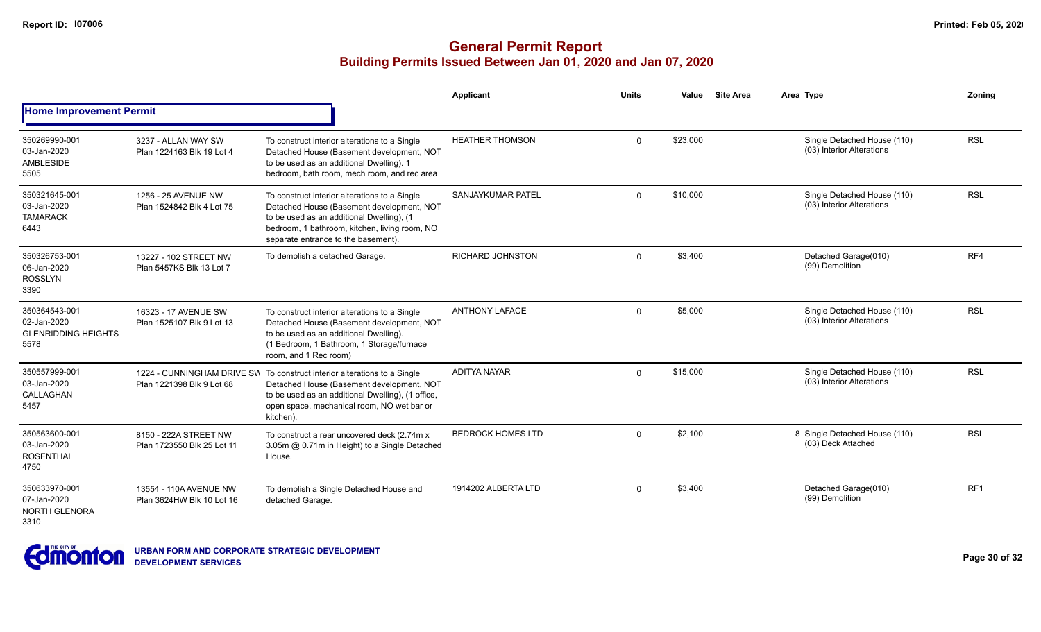|                                                                    |                                                     |                                                                                                                                                                                                                                        | Applicant                | <b>Units</b> | Value    | <b>Site Area</b> | Area Type                                                | Zonina          |
|--------------------------------------------------------------------|-----------------------------------------------------|----------------------------------------------------------------------------------------------------------------------------------------------------------------------------------------------------------------------------------------|--------------------------|--------------|----------|------------------|----------------------------------------------------------|-----------------|
| <b>Home Improvement Permit</b>                                     |                                                     |                                                                                                                                                                                                                                        |                          |              |          |                  |                                                          |                 |
| 350269990-001<br>03-Jan-2020<br>AMBLESIDE<br>5505                  | 3237 - ALLAN WAY SW<br>Plan 1224163 Blk 19 Lot 4    | To construct interior alterations to a Single<br>Detached House (Basement development, NOT<br>to be used as an additional Dwelling). 1<br>bedroom, bath room, mech room, and rec area                                                  | <b>HEATHER THOMSON</b>   | $\mathbf 0$  | \$23,000 |                  | Single Detached House (110)<br>(03) Interior Alterations | <b>RSL</b>      |
| 350321645-001<br>03-Jan-2020<br><b>TAMARACK</b><br>6443            | 1256 - 25 AVENUE NW<br>Plan 1524842 Blk 4 Lot 75    | To construct interior alterations to a Single<br>Detached House (Basement development, NOT<br>to be used as an additional Dwelling), (1<br>bedroom, 1 bathroom, kitchen, living room, NO<br>separate entrance to the basement).        | SANJAYKUMAR PATEL        | $\Omega$     | \$10,000 |                  | Single Detached House (110)<br>(03) Interior Alterations | <b>RSL</b>      |
| 350326753-001<br>06-Jan-2020<br><b>ROSSLYN</b><br>3390             | 13227 - 102 STREET NW<br>Plan 5457KS Blk 13 Lot 7   | To demolish a detached Garage.                                                                                                                                                                                                         | <b>RICHARD JOHNSTON</b>  | $\Omega$     | \$3,400  |                  | Detached Garage(010)<br>(99) Demolition                  | RF4             |
| 350364543-001<br>02-Jan-2020<br><b>GLENRIDDING HEIGHTS</b><br>5578 | 16323 - 17 AVENUE SW<br>Plan 1525107 Blk 9 Lot 13   | To construct interior alterations to a Single<br>Detached House (Basement development, NOT<br>to be used as an additional Dwelling).<br>(1 Bedroom, 1 Bathroom, 1 Storage/furnace<br>room, and 1 Rec room)                             | <b>ANTHONY LAFACE</b>    | $\Omega$     | \$5,000  |                  | Single Detached House (110)<br>(03) Interior Alterations | <b>RSL</b>      |
| 350557999-001<br>03-Jan-2020<br>CALLAGHAN<br>5457                  | Plan 1221398 Blk 9 Lot 68                           | 1224 - CUNNINGHAM DRIVE SVI To construct interior alterations to a Single<br>Detached House (Basement development, NOT<br>to be used as an additional Dwelling), (1 office,<br>open space, mechanical room, NO wet bar or<br>kitchen). | <b>ADITYA NAYAR</b>      | $\Omega$     | \$15,000 |                  | Single Detached House (110)<br>(03) Interior Alterations | <b>RSL</b>      |
| 350563600-001<br>03-Jan-2020<br><b>ROSENTHAL</b><br>4750           | 8150 - 222A STREET NW<br>Plan 1723550 Blk 25 Lot 11 | To construct a rear uncovered deck (2.74m x<br>3.05m @ 0.71m in Height) to a Single Detached<br>House.                                                                                                                                 | <b>BEDROCK HOMES LTD</b> | $\Omega$     | \$2,100  |                  | 8 Single Detached House (110)<br>(03) Deck Attached      | <b>RSL</b>      |
| 350633970-001<br>07-Jan-2020<br><b>NORTH GLENORA</b><br>3310       | 13554 - 110A AVENUE NW<br>Plan 3624HW Blk 10 Lot 16 | To demolish a Single Detached House and<br>detached Garage.                                                                                                                                                                            | 1914202 ALBERTA LTD      | $\Omega$     | \$3,400  |                  | Detached Garage(010)<br>(99) Demolition                  | RF <sub>1</sub> |

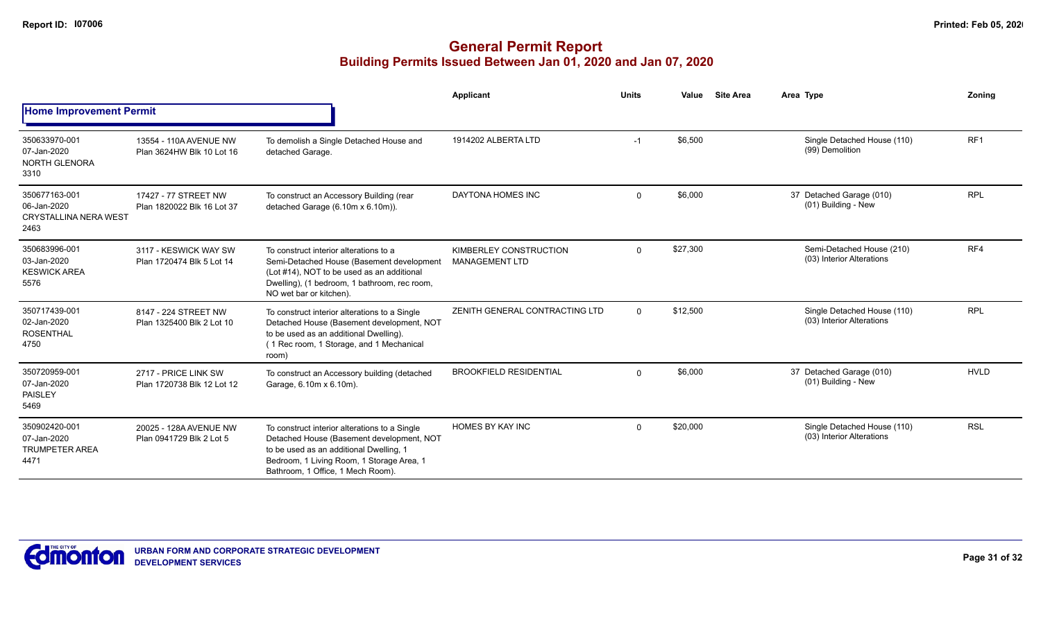|                                                                      |                                                     |                                                                                                                                                                                                                         | <b>Applicant</b>                                | <b>Units</b> | Value    | <b>Site Area</b> | Area Type                                                | Zonina          |
|----------------------------------------------------------------------|-----------------------------------------------------|-------------------------------------------------------------------------------------------------------------------------------------------------------------------------------------------------------------------------|-------------------------------------------------|--------------|----------|------------------|----------------------------------------------------------|-----------------|
| <b>Home Improvement Permit</b>                                       |                                                     |                                                                                                                                                                                                                         |                                                 |              |          |                  |                                                          |                 |
| 350633970-001<br>07-Jan-2020<br><b>NORTH GLENORA</b><br>3310         | 13554 - 110A AVENUE NW<br>Plan 3624HW Blk 10 Lot 16 | To demolish a Single Detached House and<br>detached Garage.                                                                                                                                                             | 1914202 ALBERTA LTD                             | $-1$         | \$6,500  |                  | Single Detached House (110)<br>(99) Demolition           | RF <sub>1</sub> |
| 350677163-001<br>06-Jan-2020<br><b>CRYSTALLINA NERA WEST</b><br>2463 | 17427 - 77 STREET NW<br>Plan 1820022 Blk 16 Lot 37  | To construct an Accessory Building (rear<br>detached Garage (6.10m x 6.10m)).                                                                                                                                           | DAYTONA HOMES INC                               | $\Omega$     | \$6,000  |                  | 37 Detached Garage (010)<br>(01) Building - New          | <b>RPL</b>      |
| 350683996-001<br>03-Jan-2020<br><b>KESWICK AREA</b><br>5576          | 3117 - KESWICK WAY SW<br>Plan 1720474 Blk 5 Lot 14  | To construct interior alterations to a<br>Semi-Detached House (Basement development<br>(Lot #14), NOT to be used as an additional<br>Dwelling), (1 bedroom, 1 bathroom, rec room,<br>NO wet bar or kitchen).            | KIMBERLEY CONSTRUCTION<br><b>MANAGEMENT LTD</b> | $\mathbf{0}$ | \$27,300 |                  | Semi-Detached House (210)<br>(03) Interior Alterations   | RF4             |
| 350717439-001<br>02-Jan-2020<br><b>ROSENTHAL</b><br>4750             | 8147 - 224 STREET NW<br>Plan 1325400 Blk 2 Lot 10   | To construct interior alterations to a Single<br>Detached House (Basement development, NOT<br>to be used as an additional Dwelling).<br>(1 Rec room, 1 Storage, and 1 Mechanical<br>room)                               | ZENITH GENERAL CONTRACTING LTD                  | $\Omega$     | \$12,500 |                  | Single Detached House (110)<br>(03) Interior Alterations | <b>RPL</b>      |
| 350720959-001<br>07-Jan-2020<br><b>PAISLEY</b><br>5469               | 2717 - PRICE LINK SW<br>Plan 1720738 Blk 12 Lot 12  | To construct an Accessory building (detached<br>Garage, 6.10m x 6.10m).                                                                                                                                                 | <b>BROOKFIELD RESIDENTIAL</b>                   | $\Omega$     | \$6,000  |                  | 37 Detached Garage (010)<br>(01) Building - New          | <b>HVLD</b>     |
| 350902420-001<br>07-Jan-2020<br><b>TRUMPETER AREA</b><br>4471        | 20025 - 128A AVENUE NW<br>Plan 0941729 Blk 2 Lot 5  | To construct interior alterations to a Single<br>Detached House (Basement development, NOT<br>to be used as an additional Dwelling, 1<br>Bedroom, 1 Living Room, 1 Storage Area, 1<br>Bathroom, 1 Office, 1 Mech Room). | <b>HOMES BY KAY INC</b>                         | $\Omega$     | \$20,000 |                  | Single Detached House (110)<br>(03) Interior Alterations | <b>RSL</b>      |